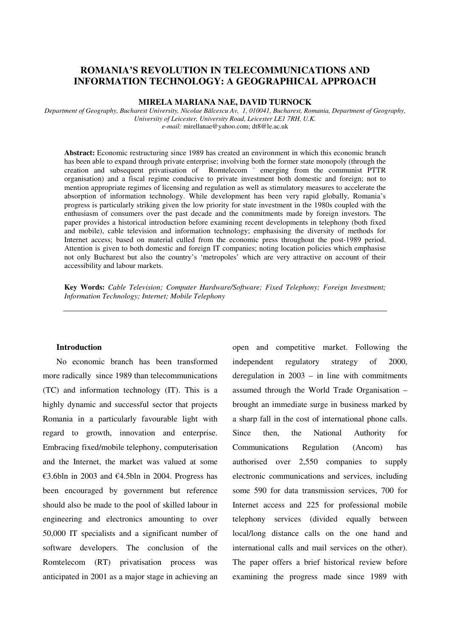## **ROMANIA'S REVOLUTION IN TELECOMMUNICATIONS AND INFORMATION TECHNOLOGY: A GEOGRAPHICAL APPROACH**

### **MIRELA MARIANA NAE, DAVID TURNOCK**

*Department of Geography, Bucharest University, Nicolae Bălcescu Av, 1, 010041, Bucharest, Romania, Department of Geography, University of Leicester, University Road, Leicester LE1 7RH, U.K. e-mail:* mirellanae@yahoo.com; dt8@le.ac.uk

**Abstract:** Economic restructuring since 1989 has created an environment in which this economic branch has been able to expand through private enterprise; involving both the former state monopoly (through the creation and subsequent privatisation of Romtelecom – emerging from the communist PTTR organisation) and a fiscal regime conducive to private investment both domestic and foreign; not to mention appropriate regimes of licensing and regulation as well as stimulatory measures to accelerate the absorption of information technology. While development has been very rapid globally, Romania's progress is particularly striking given the low priority for state investment in the 1980s coupled with the enthusiasm of consumers over the past decade and the commitments made by foreign investors. The paper provides a historical introduction before examining recent developments in telephony (both fixed and mobile), cable television and information technology; emphasising the diversity of methods for Internet access; based on material culled from the economic press throughout the post-1989 period. Attention is given to both domestic and foreign IT companies; noting location policies which emphasise not only Bucharest but also the country's 'metropoles' which are very attractive on account of their accessibility and labour markets.

**Key Words:** *Cable Television; Computer Hardware/Software; Fixed Telephony; Foreign Investment; Information Technology; Internet; Mobile Telephony* 

#### **Introduction**

No economic branch has been transformed more radically since 1989 than telecommunications (TC) and information technology (IT). This is a highly dynamic and successful sector that projects Romania in a particularly favourable light with regard to growth, innovation and enterprise. Embracing fixed/mobile telephony, computerisation and the Internet, the market was valued at some €3.6bln in 2003 and €4.5bln in 2004. Progress has been encouraged by government but reference should also be made to the pool of skilled labour in engineering and electronics amounting to over 50,000 IT specialists and a significant number of software developers. The conclusion of the Romtelecom (RT) privatisation process was anticipated in 2001 as a major stage in achieving an

open and competitive market. Following the independent regulatory strategy of 2000, deregulation in 2003 – in line with commitments assumed through the World Trade Organisation – brought an immediate surge in business marked by a sharp fall in the cost of international phone calls. Since then, the National Authority for Communications Regulation (Ancom) has authorised over 2,550 companies to supply electronic communications and services, including some 590 for data transmission services, 700 for Internet access and 225 for professional mobile telephony services (divided equally between local/long distance calls on the one hand and international calls and mail services on the other). The paper offers a brief historical review before examining the progress made since 1989 with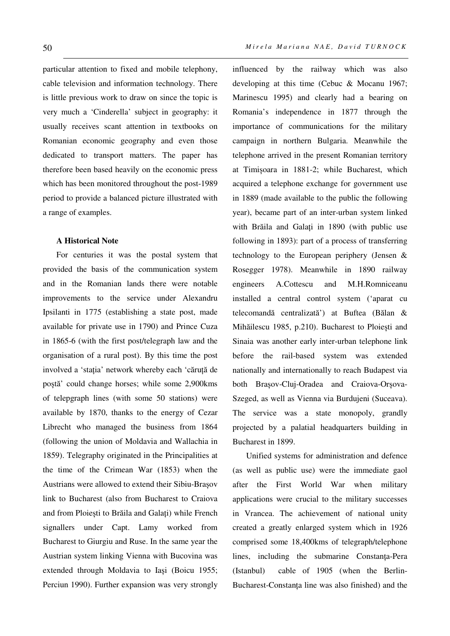particular attention to fixed and mobile telephony, cable television and information technology. There is little previous work to draw on since the topic is very much a 'Cinderella' subject in geography: it usually receives scant attention in textbooks on Romanian economic geography and even those dedicated to transport matters. The paper has therefore been based heavily on the economic press which has been monitored throughout the post-1989 period to provide a balanced picture illustrated with a range of examples.

#### **A Historical Note**

For centuries it was the postal system that provided the basis of the communication system and in the Romanian lands there were notable improvements to the service under Alexandru Ipsilanti in 1775 (establishing a state post, made available for private use in 1790) and Prince Cuza in 1865-6 (with the first post/telegraph law and the organisation of a rural post). By this time the post involved a 'staţia' network whereby each 'căruţă de poștă' could change horses; while some 2,900kms of telepgraph lines (with some 50 stations) were available by 1870, thanks to the energy of Cezar Librecht who managed the business from 1864 (following the union of Moldavia and Wallachia in 1859). Telegraphy originated in the Principalities at the time of the Crimean War (1853) when the Austrians were allowed to extend their Sibiu-Brașov link to Bucharest (also from Bucharest to Craiova and from Ploiești to Brăila and Galaţi) while French signallers under Capt. Lamy worked from Bucharest to Giurgiu and Ruse. In the same year the Austrian system linking Vienna with Bucovina was extended through Moldavia to Iași (Boicu 1955; Perciun 1990). Further expansion was very strongly influenced by the railway which was also developing at this time (Cebuc & Mocanu 1967; Marinescu 1995) and clearly had a bearing on Romania's independence in 1877 through the importance of communications for the military campaign in northern Bulgaria. Meanwhile the telephone arrived in the present Romanian territory at Timișoara in 1881-2; while Bucharest, which acquired a telephone exchange for government use in 1889 (made available to the public the following year), became part of an inter-urban system linked with Brăila and Galați in 1890 (with public use following in 1893): part of a process of transferring technology to the European periphery (Jensen & Rosegger 1978). Meanwhile in 1890 railway engineers A.Cottescu and M.H.Romniceanu installed a central control system ('aparat cu telecomandă centralizată') at Buftea (Bălan & Mihăilescu 1985, p.210). Bucharest to Ploiești and Sinaia was another early inter-urban telephone link before the rail-based system was extended nationally and internationally to reach Budapest via both Brașov-Cluj-Oradea and Craiova-Orșova-Szeged, as well as Vienna via Burdujeni (Suceava). The service was a state monopoly, grandly projected by a palatial headquarters building in Bucharest in 1899.

Unified systems for administration and defence (as well as public use) were the immediate gaol after the First World War when military applications were crucial to the military successes in Vrancea. The achievement of national unity created a greatly enlarged system which in 1926 comprised some 18,400kms of telegraph/telephone lines, including the submarine Constanţa-Pera (Istanbul) cable of 1905 (when the Berlin-Bucharest-Constanţa line was also finished) and the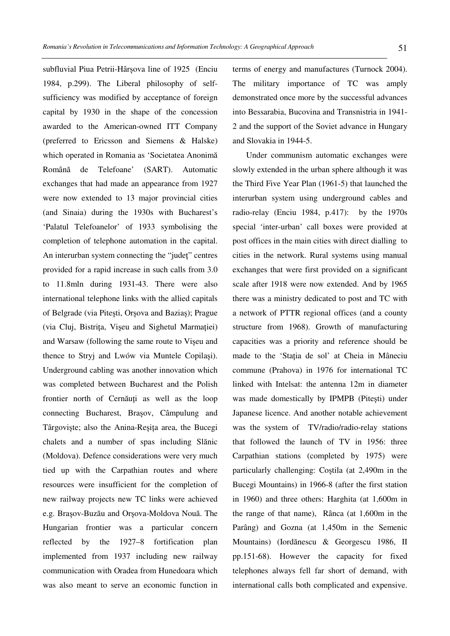subfluvial Piua Petrii-Hârșova line of 1925 (Enciu 1984, p.299). The Liberal philosophy of selfsufficiency was modified by acceptance of foreign capital by 1930 in the shape of the concession awarded to the American-owned ITT Company (preferred to Ericsson and Siemens & Halske) which operated in Romania as 'Societatea Anonimă Română de Telefoane' (SART). Automatic exchanges that had made an appearance from 1927 were now extended to 13 major provincial cities (and Sinaia) during the 1930s with Bucharest's 'Palatul Telefoanelor' of 1933 symbolising the completion of telephone automation in the capital. An interurban system connecting the "judeţ" centres provided for a rapid increase in such calls from 3.0 to 11.8mln during 1931-43. There were also international telephone links with the allied capitals of Belgrade (via Pitești, Orșova and Baziaș); Prague (via Cluj, Bistriţa, Vișeu and Sighetul Marmaţiei) and Warsaw (following the same route to Vișeu and thence to Stryj and Lwów via Muntele Copilași). Underground cabling was another innovation which was completed between Bucharest and the Polish frontier north of Cernăuți as well as the loop connecting Bucharest, Brașov, Câmpulung and Târgoviște; also the Anina-Reșița area, the Bucegi chalets and a number of spas including Slănic (Moldova). Defence considerations were very much tied up with the Carpathian routes and where resources were insufficient for the completion of new railway projects new TC links were achieved e.g. Brașov-Buzău and Orșova-Moldova Nouă. The Hungarian frontier was a particular concern reflected by the 1927–8 fortification plan implemented from 1937 including new railway communication with Oradea from Hunedoara which was also meant to serve an economic function in

terms of energy and manufactures (Turnock 2004). The military importance of TC was amply demonstrated once more by the successful advances into Bessarabia, Bucovina and Transnistria in 1941- 2 and the support of the Soviet advance in Hungary and Slovakia in 1944-5.

Under communism automatic exchanges were slowly extended in the urban sphere although it was the Third Five Year Plan (1961-5) that launched the interurban system using underground cables and radio-relay (Enciu 1984, p.417): by the 1970s special 'inter-urban' call boxes were provided at post offices in the main cities with direct dialling to cities in the network. Rural systems using manual exchanges that were first provided on a significant scale after 1918 were now extended. And by 1965 there was a ministry dedicated to post and TC with a network of PTTR regional offices (and a county structure from 1968). Growth of manufacturing capacities was a priority and reference should be made to the 'Staţia de sol' at Cheia in Mâneciu commune (Prahova) in 1976 for international TC linked with Intelsat: the antenna 12m in diameter was made domestically by IPMPB (Pitești) under Japanese licence. And another notable achievement was the system of TV/radio/radio-relay stations that followed the launch of TV in 1956: three Carpathian stations (completed by 1975) were particularly challenging: Coștila (at 2,490m in the Bucegi Mountains) in 1966-8 (after the first station in 1960) and three others: Harghita (at 1,600m in the range of that name), Rânca (at 1,600m in the Parâng) and Gozna (at 1,450m in the Semenic Mountains) (Iordănescu & Georgescu 1986, II pp.151-68). However the capacity for fixed telephones always fell far short of demand, with international calls both complicated and expensive.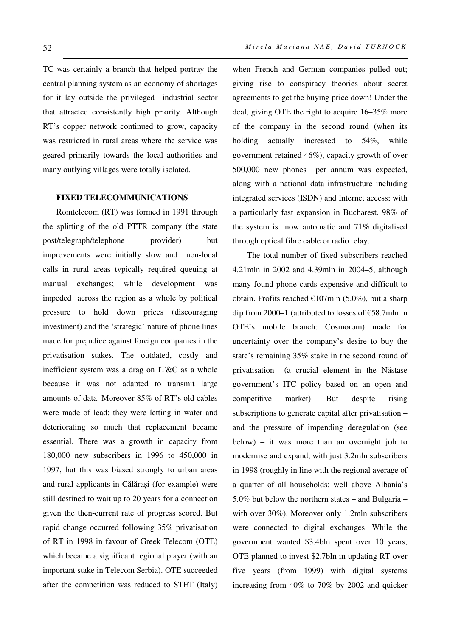TC was certainly a branch that helped portray the central planning system as an economy of shortages for it lay outside the privileged industrial sector that attracted consistently high priority. Although RT's copper network continued to grow, capacity was restricted in rural areas where the service was geared primarily towards the local authorities and many outlying villages were totally isolated.

### **FIXED TELECOMMUNICATIONS**

Romtelecom (RT) was formed in 1991 through the splitting of the old PTTR company (the state post/telegraph/telephone provider) but improvements were initially slow and non-local calls in rural areas typically required queuing at manual exchanges; while development was impeded across the region as a whole by political pressure to hold down prices (discouraging investment) and the 'strategic' nature of phone lines made for prejudice against foreign companies in the privatisation stakes. The outdated, costly and inefficient system was a drag on IT&C as a whole because it was not adapted to transmit large amounts of data. Moreover 85% of RT's old cables were made of lead: they were letting in water and deteriorating so much that replacement became essential. There was a growth in capacity from 180,000 new subscribers in 1996 to 450,000 in 1997, but this was biased strongly to urban areas and rural applicants in Călărași (for example) were still destined to wait up to 20 years for a connection given the then-current rate of progress scored. But rapid change occurred following 35% privatisation of RT in 1998 in favour of Greek Telecom (OTE) which became a significant regional player (with an important stake in Telecom Serbia). OTE succeeded after the competition was reduced to STET (Italy) when French and German companies pulled out; giving rise to conspiracy theories about secret agreements to get the buying price down! Under the deal, giving OTE the right to acquire 16–35% more of the company in the second round (when its holding actually increased to 54%, while government retained 46%), capacity growth of over 500,000 new phones per annum was expected, along with a national data infrastructure including integrated services (ISDN) and Internet access; with a particularly fast expansion in Bucharest. 98% of the system is now automatic and 71% digitalised through optical fibre cable or radio relay.

 The total number of fixed subscribers reached 4.21mln in 2002 and 4.39mln in 2004–5, although many found phone cards expensive and difficult to obtain. Profits reached  $\epsilon$ 107mln (5.0%), but a sharp dip from 2000–1 (attributed to losses of €58.7mln in OTE's mobile branch: Cosmorom) made for uncertainty over the company's desire to buy the state's remaining 35% stake in the second round of privatisation (a crucial element in the Năstase government's ITC policy based on an open and competitive market). But despite rising subscriptions to generate capital after privatisation – and the pressure of impending deregulation (see below) – it was more than an overnight job to modernise and expand, with just 3.2mln subscribers in 1998 (roughly in line with the regional average of a quarter of all households: well above Albania's 5.0% but below the northern states – and Bulgaria – with over 30%). Moreover only 1.2mln subscribers were connected to digital exchanges. While the government wanted \$3.4bln spent over 10 years, OTE planned to invest \$2.7bln in updating RT over five years (from 1999) with digital systems increasing from 40% to 70% by 2002 and quicker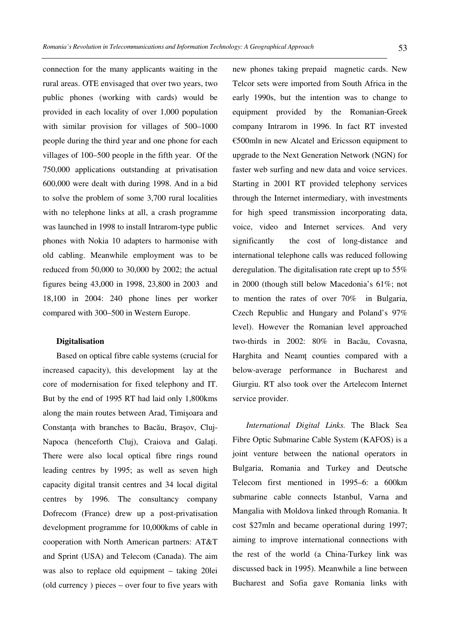connection for the many applicants waiting in the rural areas. OTE envisaged that over two years, two public phones (working with cards) would be provided in each locality of over 1,000 population with similar provision for villages of 500–1000 people during the third year and one phone for each villages of 100–500 people in the fifth year. Of the 750,000 applications outstanding at privatisation 600,000 were dealt with during 1998. And in a bid to solve the problem of some 3,700 rural localities with no telephone links at all, a crash programme was launched in 1998 to install Intrarom-type public phones with Nokia 10 adapters to harmonise with old cabling. Meanwhile employment was to be reduced from 50,000 to 30,000 by 2002; the actual figures being 43,000 in 1998, 23,800 in 2003 and 18,100 in 2004: 240 phone lines per worker compared with 300–500 in Western Europe.

#### **Digitalisation**

Based on optical fibre cable systems (crucial for increased capacity), this development lay at the core of modernisation for fixed telephony and IT. But by the end of 1995 RT had laid only 1,800kms along the main routes between Arad, Timișoara and Constanţa with branches to Bacău, Brașov, Cluj-Napoca (henceforth Cluj), Craiova and Galați. There were also local optical fibre rings round leading centres by 1995; as well as seven high capacity digital transit centres and 34 local digital centres by 1996. The consultancy company Dofrecom (France) drew up a post-privatisation development programme for 10,000kms of cable in cooperation with North American partners: AT&T and Sprint (USA) and Telecom (Canada). The aim was also to replace old equipment – taking 20lei (old currency ) pieces – over four to five years with

new phones taking prepaid magnetic cards. New Telcor sets were imported from South Africa in the early 1990s, but the intention was to change to equipment provided by the Romanian-Greek company Intrarom in 1996. In fact RT invested €500mln in new Alcatel and Ericsson equipment to upgrade to the Next Generation Network (NGN) for faster web surfing and new data and voice services. Starting in 2001 RT provided telephony services through the Internet intermediary, with investments for high speed transmission incorporating data, voice, video and Internet services. And very significantly the cost of long-distance and international telephone calls was reduced following deregulation. The digitalisation rate crept up to 55% in 2000 (though still below Macedonia's 61%; not to mention the rates of over 70% in Bulgaria, Czech Republic and Hungary and Poland's 97% level). However the Romanian level approached two-thirds in 2002: 80% in Bacău, Covasna, Harghita and Neamt counties compared with a below-average performance in Bucharest and Giurgiu. RT also took over the Artelecom Internet service provider.

*International Digital Links.* The Black Sea Fibre Optic Submarine Cable System (KAFOS) is a joint venture between the national operators in Bulgaria, Romania and Turkey and Deutsche Telecom first mentioned in 1995–6: a 600km submarine cable connects Istanbul, Varna and Mangalia with Moldova linked through Romania. It cost \$27mln and became operational during 1997; aiming to improve international connections with the rest of the world (a China-Turkey link was discussed back in 1995). Meanwhile a line between Bucharest and Sofia gave Romania links with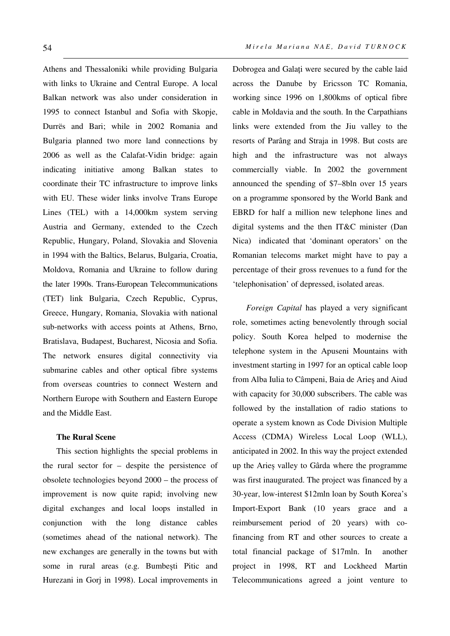Athens and Thessaloniki while providing Bulgaria with links to Ukraine and Central Europe. A local Balkan network was also under consideration in 1995 to connect Istanbul and Sofia with Skopje, Durrës and Bari; while in 2002 Romania and Bulgaria planned two more land connections by 2006 as well as the Calafat-Vidin bridge: again indicating initiative among Balkan states to coordinate their TC infrastructure to improve links with EU. These wider links involve Trans Europe Lines (TEL) with a 14,000km system serving Austria and Germany, extended to the Czech Republic, Hungary, Poland, Slovakia and Slovenia in 1994 with the Baltics, Belarus, Bulgaria, Croatia, Moldova, Romania and Ukraine to follow during the later 1990s. Trans-European Telecommunications (TET) link Bulgaria, Czech Republic, Cyprus, Greece, Hungary, Romania, Slovakia with national sub-networks with access points at Athens, Brno, Bratislava, Budapest, Bucharest, Nicosia and Sofia. The network ensures digital connectivity via submarine cables and other optical fibre systems from overseas countries to connect Western and Northern Europe with Southern and Eastern Europe and the Middle East.

## **The Rural Scene**

This section highlights the special problems in the rural sector for – despite the persistence of obsolete technologies beyond 2000 – the process of improvement is now quite rapid; involving new digital exchanges and local loops installed in conjunction with the long distance cables (sometimes ahead of the national network). The new exchanges are generally in the towns but with some in rural areas (e.g. Bumbești Pitic and Hurezani in Gorj in 1998). Local improvements in Dobrogea and Galaţi were secured by the cable laid across the Danube by Ericsson TC Romania, working since 1996 on 1,800kms of optical fibre cable in Moldavia and the south. In the Carpathians links were extended from the Jiu valley to the resorts of Parâng and Straja in 1998. But costs are high and the infrastructure was not always commercially viable. In 2002 the government announced the spending of \$7–8bln over 15 years on a programme sponsored by the World Bank and EBRD for half a million new telephone lines and digital systems and the then IT&C minister (Dan Nica) indicated that 'dominant operators' on the Romanian telecoms market might have to pay a percentage of their gross revenues to a fund for the 'telephonisation' of depressed, isolated areas.

*Foreign Capital* has played a very significant role, sometimes acting benevolently through social policy. South Korea helped to modernise the telephone system in the Apuseni Mountains with investment starting in 1997 for an optical cable loop from Alba Iulia to Câmpeni, Baia de Arieș and Aiud with capacity for 30,000 subscribers. The cable was followed by the installation of radio stations to operate a system known as Code Division Multiple Access (CDMA) Wireless Local Loop (WLL), anticipated in 2002. In this way the project extended up the Arieș valley to Gârda where the programme was first inaugurated. The project was financed by a 30-year, low-interest \$12mln loan by South Korea's Import-Export Bank (10 years grace and a reimbursement period of 20 years) with cofinancing from RT and other sources to create a total financial package of \$17mln. In another project in 1998, RT and Lockheed Martin Telecommunications agreed a joint venture to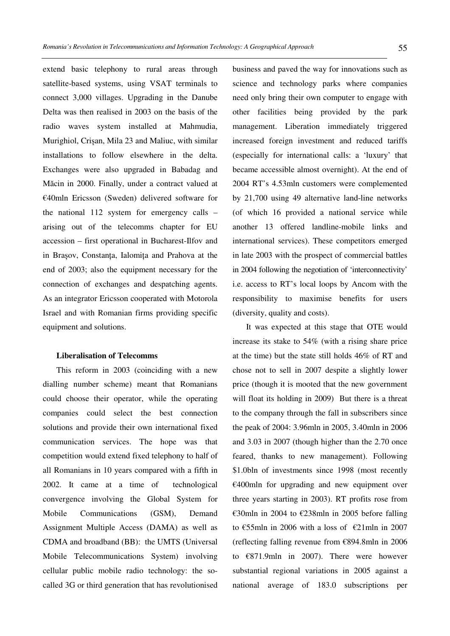extend basic telephony to rural areas through satellite-based systems, using VSAT terminals to connect 3,000 villages. Upgrading in the Danube Delta was then realised in 2003 on the basis of the radio waves system installed at Mahmudia, Murighiol, Crișan, Mila 23 and Maliuc, with similar installations to follow elsewhere in the delta. Exchanges were also upgraded in Babadag and Măcin in 2000. Finally, under a contract valued at €40mln Ericsson (Sweden) delivered software for the national 112 system for emergency calls – arising out of the telecomms chapter for EU accession – first operational in Bucharest-Ilfov and in Brașov, Constanţa, Ialomiţa and Prahova at the end of 2003; also the equipment necessary for the connection of exchanges and despatching agents. As an integrator Ericsson cooperated with Motorola Israel and with Romanian firms providing specific equipment and solutions.

#### **Liberalisation of Telecomms**

This reform in 2003 (coinciding with a new dialling number scheme) meant that Romanians could choose their operator, while the operating companies could select the best connection solutions and provide their own international fixed communication services. The hope was that competition would extend fixed telephony to half of all Romanians in 10 years compared with a fifth in 2002. It came at a time of technological convergence involving the Global System for Mobile Communications (GSM), Demand Assignment Multiple Access (DAMA) as well as CDMA and broadband (BB): the UMTS (Universal Mobile Telecommunications System) involving cellular public mobile radio technology: the socalled 3G or third generation that has revolutionised business and paved the way for innovations such as science and technology parks where companies need only bring their own computer to engage with other facilities being provided by the park management. Liberation immediately triggered increased foreign investment and reduced tariffs (especially for international calls: a 'luxury' that became accessible almost overnight). At the end of 2004 RT's 4.53mln customers were complemented by 21,700 using 49 alternative land-line networks (of which 16 provided a national service while another 13 offered landline-mobile links and international services). These competitors emerged in late 2003 with the prospect of commercial battles in 2004 following the negotiation of 'interconnectivity' i.e. access to RT's local loops by Ancom with the responsibility to maximise benefits for users (diversity, quality and costs).

It was expected at this stage that OTE would increase its stake to 54% (with a rising share price at the time) but the state still holds 46% of RT and chose not to sell in 2007 despite a slightly lower price (though it is mooted that the new government will float its holding in 2009) But there is a threat to the company through the fall in subscribers since the peak of 2004: 3.96mln in 2005, 3.40mln in 2006 and 3.03 in 2007 (though higher than the 2.70 once feared, thanks to new management). Following \$1.0bln of investments since 1998 (most recently €400mln for upgrading and new equipment over three years starting in 2003). RT profits rose from €30mln in 2004 to €238mln in 2005 before falling to €55mln in 2006 with a loss of  $€21$ mln in 2007 (reflecting falling revenue from €894.8mln in 2006 to €871.9mln in 2007). There were however substantial regional variations in 2005 against a national average of 183.0 subscriptions per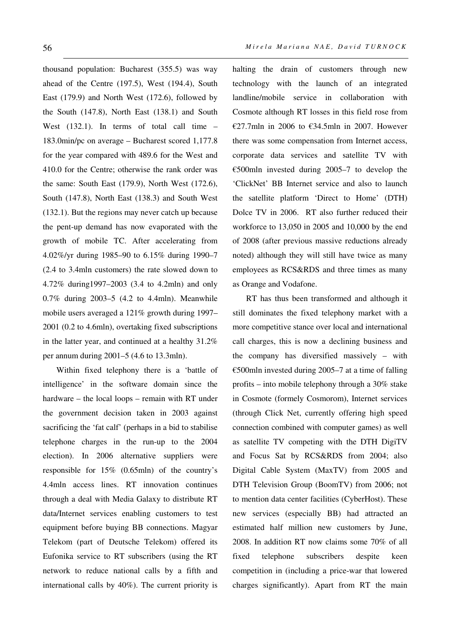thousand population: Bucharest (355.5) was way ahead of the Centre (197.5), West (194.4), South East (179.9) and North West (172.6), followed by the South (147.8), North East (138.1) and South West (132.1). In terms of total call time – 183.0min/pc on average – Bucharest scored 1,177.8 for the year compared with 489.6 for the West and 410.0 for the Centre; otherwise the rank order was the same: South East (179.9), North West (172.6), South (147.8), North East (138.3) and South West (132.1). But the regions may never catch up because the pent-up demand has now evaporated with the growth of mobile TC. After accelerating from 4.02%/yr during 1985–90 to 6.15% during 1990–7 (2.4 to 3.4mln customers) the rate slowed down to 4.72% during1997–2003 (3.4 to 4.2mln) and only 0.7% during 2003–5 (4.2 to 4.4mln). Meanwhile mobile users averaged a 121% growth during 1997– 2001 (0.2 to 4.6mln), overtaking fixed subscriptions in the latter year, and continued at a healthy 31.2% per annum during 2001–5 (4.6 to 13.3mln).

Within fixed telephony there is a 'battle of intelligence' in the software domain since the hardware – the local loops – remain with RT under the government decision taken in 2003 against sacrificing the 'fat calf' (perhaps in a bid to stabilise telephone charges in the run-up to the 2004 election). In 2006 alternative suppliers were responsible for 15% (0.65mln) of the country's 4.4mln access lines. RT innovation continues through a deal with Media Galaxy to distribute RT data/Internet services enabling customers to test equipment before buying BB connections. Magyar Telekom (part of Deutsche Telekom) offered its Eufonika service to RT subscribers (using the RT network to reduce national calls by a fifth and international calls by 40%). The current priority is

halting the drain of customers through new technology with the launch of an integrated landline/mobile service in collaboration with Cosmote although RT losses in this field rose from €27.7mln in 2006 to €34.5mln in 2007. However there was some compensation from Internet access, corporate data services and satellite TV with €500mln invested during 2005–7 to develop the 'ClickNet' BB Internet service and also to launch the satellite platform 'Direct to Home' (DTH) Dolce TV in 2006. RT also further reduced their workforce to 13,050 in 2005 and 10,000 by the end of 2008 (after previous massive reductions already noted) although they will still have twice as many employees as RCS&RDS and three times as many as Orange and Vodafone.

RT has thus been transformed and although it still dominates the fixed telephony market with a more competitive stance over local and international call charges, this is now a declining business and the company has diversified massively – with €500mln invested during 2005–7 at a time of falling profits – into mobile telephony through a 30% stake in Cosmote (formely Cosmorom), Internet services (through Click Net, currently offering high speed connection combined with computer games) as well as satellite TV competing with the DTH DigiTV and Focus Sat by RCS&RDS from 2004; also Digital Cable System (MaxTV) from 2005 and DTH Television Group (BoomTV) from 2006; not to mention data center facilities (CyberHost). These new services (especially BB) had attracted an estimated half million new customers by June, 2008. In addition RT now claims some 70% of all fixed telephone subscribers despite keen competition in (including a price-war that lowered charges significantly). Apart from RT the main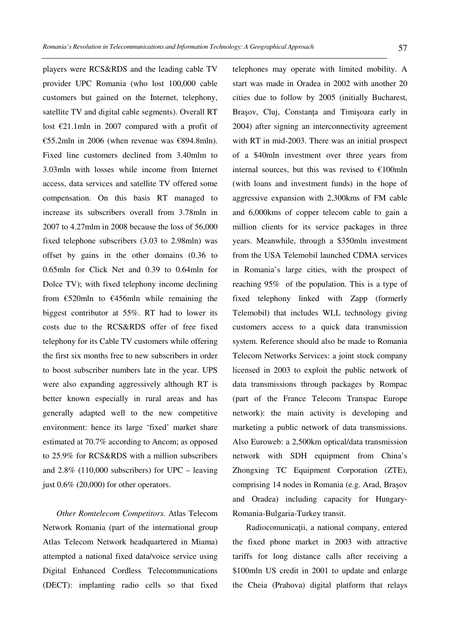players were RCS&RDS and the leading cable TV provider UPC Romania (who lost 100,000 cable customers but gained on the Internet, telephony, satellite TV and digital cable segments). Overall RT lost €21.1mln in 2007 compared with a profit of €55.2mln in 2006 (when revenue was €894.8mln). Fixed line customers declined from 3.40mlm to 3.03mln with losses while income from Internet access, data services and satellite TV offered some compensation. On this basis RT managed to increase its subscribers overall from 3.78mln in 2007 to 4.27mlm in 2008 because the loss of 56,000 fixed telephone subscribers (3.03 to 2.98mln) was offset by gains in the other domains (0.36 to 0.65mln for Click Net and 0.39 to 0.64mln for Dolce TV); with fixed telephony income declining from  $\epsilon$ 520mln to  $\epsilon$ 456mln while remaining the biggest contributor at 55%. RT had to lower its costs due to the RCS&RDS offer of free fixed telephony for its Cable TV customers while offering the first six months free to new subscribers in order to boost subscriber numbers late in the year. UPS were also expanding aggressively although RT is better known especially in rural areas and has generally adapted well to the new competitive environment: hence its large 'fixed' market share estimated at 70.7% according to Ancom; as opposed to 25.9% for RCS&RDS with a million subscribers and 2.8% (110,000 subscribers) for UPC – leaving just 0.6% (20,000) for other operators.

*Other Romtelecom Competitors.* Atlas Telecom Network Romania (part of the international group Atlas Telecom Network headquartered in Miama) attempted a national fixed data/voice service using Digital Enhanced Cordless Telecommunications (DECT): implanting radio cells so that fixed telephones may operate with limited mobility. A start was made in Oradea in 2002 with another 20 cities due to follow by 2005 (initially Bucharest, Brașov, Cluj, Constanța and Timișoara early in 2004) after signing an interconnectivity agreement with RT in mid-2003. There was an initial prospect of a \$40mln investment over three years from internal sources, but this was revised to  $€100$ mln (with loans and investment funds) in the hope of aggressive expansion with 2,300kms of FM cable and 6,000kms of copper telecom cable to gain a million clients for its service packages in three years. Meanwhile, through a \$350mln investment from the USA Telemobil launched CDMA services in Romania's large cities, with the prospect of reaching 95% of the population. This is a type of fixed telephony linked with Zapp (formerly Telemobil) that includes WLL technology giving customers access to a quick data transmission system. Reference should also be made to Romania Telecom Networks Services: a joint stock company licensed in 2003 to exploit the public network of data transmissions through packages by Rompac (part of the France Telecom Transpac Europe network): the main activity is developing and marketing a public network of data transmissions. Also Euroweb: a 2,500km optical/data transmission network with SDH equipment from China's Zhongxing TC Equipment Corporation (ZTE), comprising 14 nodes in Romania (e.g. Arad, Brașov and Oradea) including capacity for Hungary-Romania-Bulgaria-Turkey transit.

Radiocomunicații, a national company, entered the fixed phone market in 2003 with attractive tariffs for long distance calls after receiving a \$100mln US credit in 2001 to update and enlarge the Cheia (Prahova) digital platform that relays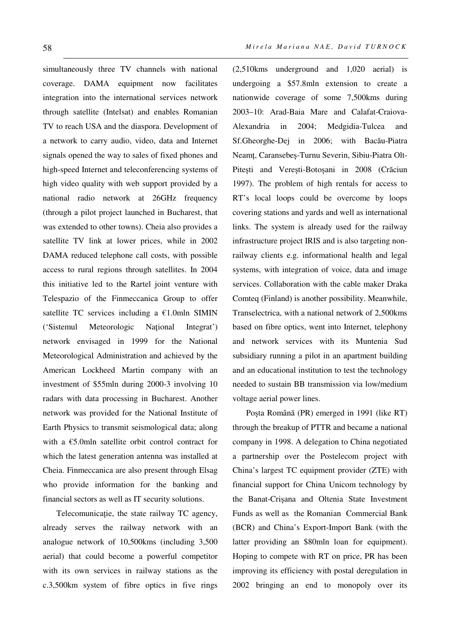simultaneously three TV channels with national coverage. DAMA equipment now facilitates integration into the international services network through satellite (Intelsat) and enables Romanian TV to reach USA and the diaspora. Development of a network to carry audio, video, data and Internet signals opened the way to sales of fixed phones and high-speed Internet and teleconferencing systems of high video quality with web support provided by a national radio network at 26GHz frequency (through a pilot project launched in Bucharest, that was extended to other towns). Cheia also provides a satellite TV link at lower prices, while in 2002 DAMA reduced telephone call costs, with possible access to rural regions through satellites. In 2004 this initiative led to the Rartel joint venture with Telespazio of the Finmeccanica Group to offer satellite TC services including a  $E1.0$ mln SIMIN ('Sistemul Meteorologic National Integrat') network envisaged in 1999 for the National Meteorological Administration and achieved by the American Lockheed Martin company with an investment of \$55mln during 2000-3 involving 10 radars with data processing in Bucharest. Another network was provided for the National Institute of Earth Physics to transmit seismological data; along with a  $E$ 5.0mln satellite orbit control contract for which the latest generation antenna was installed at Cheia. Finmeccanica are also present through Elsag who provide information for the banking and financial sectors as well as IT security solutions.

Telecomunicație, the state railway TC agency, already serves the railway network with an analogue network of 10,500kms (including 3,500 aerial) that could become a powerful competitor with its own services in railway stations as the c.3,500km system of fibre optics in five rings (2,510kms underground and 1,020 aerial) is undergoing a \$57.8mln extension to create a nationwide coverage of some 7,500kms during 2003–10: Arad-Baia Mare and Calafat-Craiova-Alexandria in 2004; Medgidia-Tulcea and Sf.Gheorghe-Dej in 2006; with Bacău-Piatra Neamţ, Caransebeș-Turnu Severin, Sibiu-Piatra Olt-Pitești and Verești-Botoșani in 2008 (Crăciun 1997). The problem of high rentals for access to RT's local loops could be overcome by loops covering stations and yards and well as international links. The system is already used for the railway infrastructure project IRIS and is also targeting nonrailway clients e.g. informational health and legal systems, with integration of voice, data and image services. Collaboration with the cable maker Draka Comteq (Finland) is another possibility. Meanwhile, Transelectrica, with a national network of 2,500kms based on fibre optics, went into Internet, telephony and network services with its Muntenia Sud subsidiary running a pilot in an apartment building and an educational institution to test the technology needed to sustain BB transmission via low/medium voltage aerial power lines.

Poșta Română (PR) emerged in 1991 (like RT) through the breakup of PTTR and became a national company in 1998. A delegation to China negotiated a partnership over the Postelecom project with China's largest TC equipment provider (ZTE) with financial support for China Unicom technology by the Banat-Crișana and Oltenia State Investment Funds as well as the Romanian Commercial Bank (BCR) and China's Export-Import Bank (with the latter providing an \$80mln loan for equipment). Hoping to compete with RT on price, PR has been improving its efficiency with postal deregulation in 2002 bringing an end to monopoly over its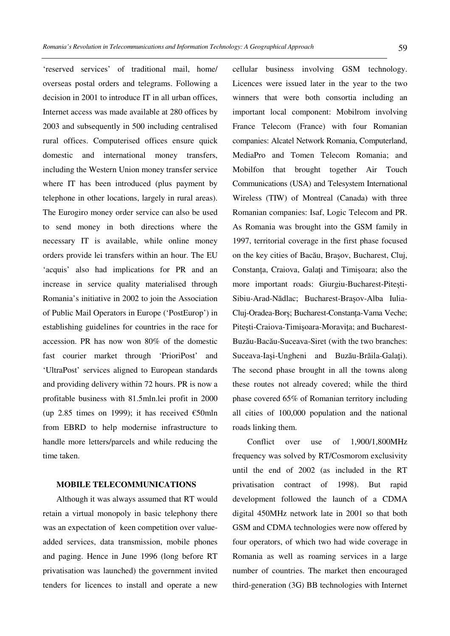'reserved services' of traditional mail, home/ overseas postal orders and telegrams. Following a decision in 2001 to introduce IT in all urban offices, Internet access was made available at 280 offices by 2003 and subsequently in 500 including centralised rural offices. Computerised offices ensure quick domestic and international money transfers, including the Western Union money transfer service where IT has been introduced (plus payment by telephone in other locations, largely in rural areas). The Eurogiro money order service can also be used to send money in both directions where the necessary IT is available, while online money orders provide lei transfers within an hour. The EU 'acquis' also had implications for PR and an increase in service quality materialised through Romania's initiative in 2002 to join the Association of Public Mail Operators in Europe ('PostEurop') in establishing guidelines for countries in the race for accession. PR has now won 80% of the domestic fast courier market through 'PrioriPost' and 'UltraPost' services aligned to European standards and providing delivery within 72 hours. PR is now a profitable business with 81.5mln.lei profit in 2000 (up 2.85 times on 1999); it has received  $\epsilon$ 50mln from EBRD to help modernise infrastructure to handle more letters/parcels and while reducing the time taken.

## **MOBILE TELECOMMUNICATIONS**

Although it was always assumed that RT would retain a virtual monopoly in basic telephony there was an expectation of keen competition over valueadded services, data transmission, mobile phones and paging. Hence in June 1996 (long before RT privatisation was launched) the government invited tenders for licences to install and operate a new cellular business involving GSM technology. Licences were issued later in the year to the two winners that were both consortia including an important local component: Mobilrom involving France Telecom (France) with four Romanian companies: Alcatel Network Romania, Computerland, MediaPro and Tomen Telecom Romania; and Mobilfon that brought together Air Touch Communications (USA) and Telesystem International Wireless (TIW) of Montreal (Canada) with three Romanian companies: Isaf, Logic Telecom and PR. As Romania was brought into the GSM family in 1997, territorial coverage in the first phase focused on the key cities of Bacău, Brașov, Bucharest, Cluj, Constanta, Craiova, Galati and Timișoara; also the more important roads: Giurgiu-Bucharest-Pitești-Sibiu-Arad-Nădlac; Bucharest-Brașov-Alba Iulia-Cluj-Oradea-Borș; Bucharest-Constanţa-Vama Veche; Pitești-Craiova-Timișoara-Moravița; and Bucharest-Buzău-Bacău-Suceava-Siret (with the two branches: Suceava-Iași-Ungheni and Buzău-Brăila-Galaţi). The second phase brought in all the towns along these routes not already covered; while the third phase covered 65% of Romanian territory including all cities of 100,000 population and the national roads linking them.

 Conflict over use of 1,900/1,800MHz frequency was solved by RT/Cosmorom exclusivity until the end of 2002 (as included in the RT privatisation contract of 1998). But rapid development followed the launch of a CDMA digital 450MHz network late in 2001 so that both GSM and CDMA technologies were now offered by four operators, of which two had wide coverage in Romania as well as roaming services in a large number of countries. The market then encouraged third-generation (3G) BB technologies with Internet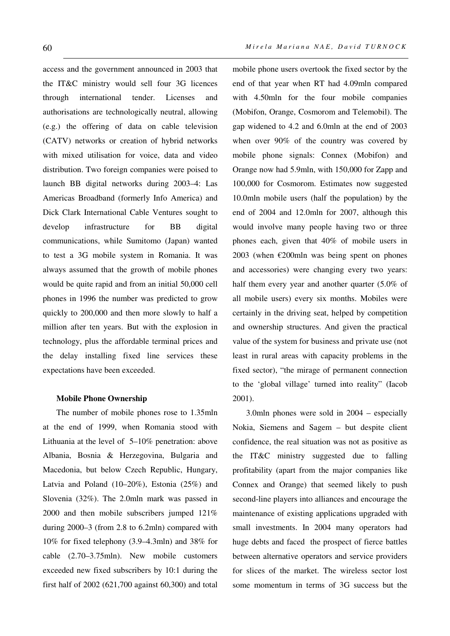access and the government announced in 2003 that the IT&C ministry would sell four 3G licences through international tender. Licenses and authorisations are technologically neutral, allowing (e.g.) the offering of data on cable television (CATV) networks or creation of hybrid networks with mixed utilisation for voice, data and video distribution. Two foreign companies were poised to launch BB digital networks during 2003–4: Las Americas Broadband (formerly Info America) and Dick Clark International Cable Ventures sought to develop infrastructure for BB digital communications, while Sumitomo (Japan) wanted to test a 3G mobile system in Romania. It was always assumed that the growth of mobile phones would be quite rapid and from an initial 50,000 cell phones in 1996 the number was predicted to grow quickly to 200,000 and then more slowly to half a million after ten years. But with the explosion in technology, plus the affordable terminal prices and the delay installing fixed line services these expectations have been exceeded.

#### **Mobile Phone Ownership**

The number of mobile phones rose to 1.35mln at the end of 1999, when Romania stood with Lithuania at the level of 5–10% penetration: above Albania, Bosnia & Herzegovina, Bulgaria and Macedonia, but below Czech Republic, Hungary, Latvia and Poland (10–20%), Estonia (25%) and Slovenia (32%). The 2.0mln mark was passed in 2000 and then mobile subscribers jumped 121% during 2000–3 (from 2.8 to 6.2mln) compared with 10% for fixed telephony (3.9–4.3mln) and 38% for cable (2.70–3.75mln). New mobile customers exceeded new fixed subscribers by 10:1 during the first half of 2002 (621,700 against 60,300) and total mobile phone users overtook the fixed sector by the end of that year when RT had 4.09mln compared with 4.50mln for the four mobile companies (Mobifon, Orange, Cosmorom and Telemobil). The gap widened to 4.2 and 6.0mln at the end of 2003 when over 90% of the country was covered by mobile phone signals: Connex (Mobifon) and Orange now had 5.9mln, with 150,000 for Zapp and 100,000 for Cosmorom. Estimates now suggested 10.0mln mobile users (half the population) by the end of 2004 and 12.0mln for 2007, although this would involve many people having two or three phones each, given that 40% of mobile users in 2003 (when  $\epsilon$ 200mln was being spent on phones and accessories) were changing every two years: half them every year and another quarter (5.0% of all mobile users) every six months. Mobiles were certainly in the driving seat, helped by competition and ownership structures. And given the practical value of the system for business and private use (not least in rural areas with capacity problems in the fixed sector), "the mirage of permanent connection to the 'global village' turned into reality" (Iacob 2001).

3.0mln phones were sold in 2004 – especially Nokia, Siemens and Sagem – but despite client confidence, the real situation was not as positive as the IT&C ministry suggested due to falling profitability (apart from the major companies like Connex and Orange) that seemed likely to push second-line players into alliances and encourage the maintenance of existing applications upgraded with small investments. In 2004 many operators had huge debts and faced the prospect of fierce battles between alternative operators and service providers for slices of the market. The wireless sector lost some momentum in terms of 3G success but the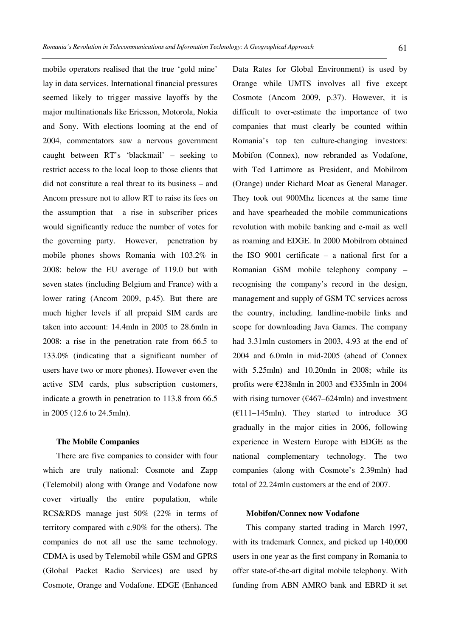mobile operators realised that the true 'gold mine' lay in data services. International financial pressures seemed likely to trigger massive layoffs by the major multinationals like Ericsson, Motorola, Nokia and Sony. With elections looming at the end of 2004, commentators saw a nervous government caught between RT's 'blackmail' – seeking to restrict access to the local loop to those clients that did not constitute a real threat to its business – and Ancom pressure not to allow RT to raise its fees on the assumption that a rise in subscriber prices would significantly reduce the number of votes for the governing party. However, penetration by mobile phones shows Romania with 103.2% in 2008: below the EU average of 119.0 but with seven states (including Belgium and France) with a lower rating (Ancom 2009, p.45). But there are much higher levels if all prepaid SIM cards are taken into account: 14.4mln in 2005 to 28.6mln in 2008: a rise in the penetration rate from 66.5 to 133.0% (indicating that a significant number of users have two or more phones). However even the active SIM cards, plus subscription customers, indicate a growth in penetration to 113.8 from 66.5 in 2005 (12.6 to 24.5mln).

## **The Mobile Companies**

There are five companies to consider with four which are truly national: Cosmote and Zapp (Telemobil) along with Orange and Vodafone now cover virtually the entire population, while RCS&RDS manage just 50% (22% in terms of territory compared with c.90% for the others). The companies do not all use the same technology. CDMA is used by Telemobil while GSM and GPRS (Global Packet Radio Services) are used by Cosmote, Orange and Vodafone. EDGE (Enhanced Data Rates for Global Environment) is used by Orange while UMTS involves all five except Cosmote (Ancom 2009, p.37). However, it is difficult to over-estimate the importance of two companies that must clearly be counted within Romania's top ten culture-changing investors: Mobifon (Connex), now rebranded as Vodafone, with Ted Lattimore as President, and Mobilrom (Orange) under Richard Moat as General Manager. They took out 900Mhz licences at the same time and have spearheaded the mobile communications revolution with mobile banking and e-mail as well as roaming and EDGE. In 2000 Mobilrom obtained the ISO 9001 certificate – a national first for a Romanian GSM mobile telephony company – recognising the company's record in the design, management and supply of GSM TC services across the country, including. landline-mobile links and scope for downloading Java Games. The company had 3.31mln customers in 2003, 4.93 at the end of 2004 and 6.0mln in mid-2005 (ahead of Connex with 5.25mln) and 10.20mln in 2008; while its profits were €238mln in 2003 and €335mln in 2004 with rising turnover ( $\epsilon$ 467–624mln) and investment  $(E111-145$ mln). They started to introduce 3G gradually in the major cities in 2006, following experience in Western Europe with EDGE as the national complementary technology. The two companies (along with Cosmote's 2.39mln) had total of 22.24mln customers at the end of 2007.

## **Mobifon/Connex now Vodafone**

This company started trading in March 1997, with its trademark Connex, and picked up 140,000 users in one year as the first company in Romania to offer state-of-the-art digital mobile telephony. With funding from ABN AMRO bank and EBRD it set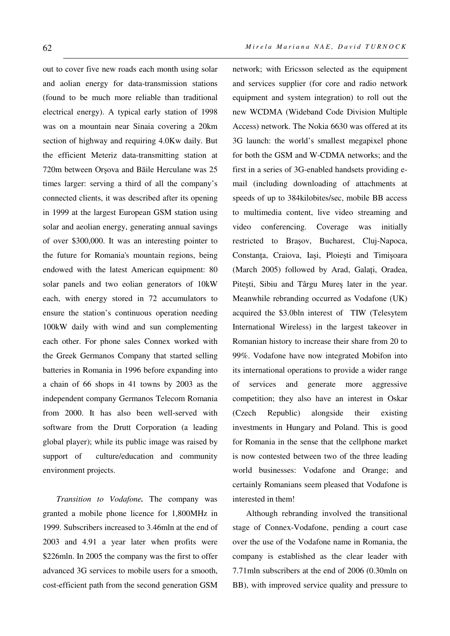out to cover five new roads each month using solar and aolian energy for data-transmission stations (found to be much more reliable than traditional electrical energy). A typical early station of 1998 was on a mountain near Sinaia covering a 20km section of highway and requiring 4.0Kw daily. But the efficient Meteriz data-transmitting station at 720m between Orșova and Băile Herculane was 25 times larger: serving a third of all the company's connected clients, it was described after its opening in 1999 at the largest European GSM station using solar and aeolian energy, generating annual savings of over \$300,000. It was an interesting pointer to the future for Romania's mountain regions, being endowed with the latest American equipment: 80 solar panels and two eolian generators of 10kW each, with energy stored in 72 accumulators to ensure the station's continuous operation needing 100kW daily with wind and sun complementing each other. For phone sales Connex worked with the Greek Germanos Company that started selling batteries in Romania in 1996 before expanding into a chain of 66 shops in 41 towns by 2003 as the independent company Germanos Telecom Romania from 2000. It has also been well-served with software from the Drutt Corporation (a leading global player); while its public image was raised by support of culture/education and community environment projects.

*Transition to Vodafone.* The company was granted a mobile phone licence for 1,800MHz in 1999. Subscribers increased to 3.46mln at the end of 2003 and 4.91 a year later when profits were \$226mln. In 2005 the company was the first to offer advanced 3G services to mobile users for a smooth, cost-efficient path from the second generation GSM network; with Ericsson selected as the equipment and services supplier (for core and radio network equipment and system integration) to roll out the new WCDMA (Wideband Code Division Multiple Access) network. The Nokia 6630 was offered at its 3G launch: the world's smallest megapixel phone for both the GSM and W-CDMA networks; and the first in a series of 3G-enabled handsets providing email (including downloading of attachments at speeds of up to 384kilobites/sec, mobile BB access to multimedia content, live video streaming and video conferencing. Coverage was initially restricted to Brașov, Bucharest, Cluj-Napoca, Constanţa, Craiova, Iași, Ploiești and Timișoara (March 2005) followed by Arad, Galati, Oradea, Pitești, Sibiu and Târgu Mureș later in the year. Meanwhile rebranding occurred as Vodafone (UK) acquired the \$3.0bln interest of TIW (Telesytem International Wireless) in the largest takeover in Romanian history to increase their share from 20 to 99%. Vodafone have now integrated Mobifon into its international operations to provide a wider range of services and generate more aggressive competition; they also have an interest in Oskar (Czech Republic) alongside their existing investments in Hungary and Poland. This is good for Romania in the sense that the cellphone market is now contested between two of the three leading world businesses: Vodafone and Orange; and certainly Romanians seem pleased that Vodafone is interested in them!

Although rebranding involved the transitional stage of Connex-Vodafone, pending a court case over the use of the Vodafone name in Romania, the company is established as the clear leader with 7.71mln subscribers at the end of 2006 (0.30mln on BB), with improved service quality and pressure to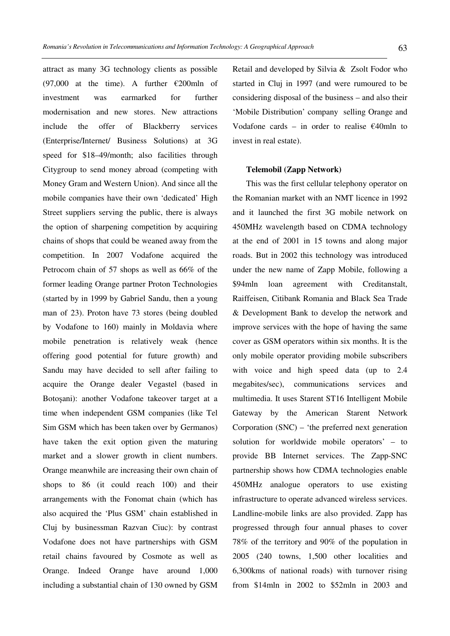attract as many 3G technology clients as possible (97,000 at the time). A further  $\epsilon$ 200mln of investment was earmarked for further modernisation and new stores. New attractions include the offer of Blackberry services (Enterprise/Internet/ Business Solutions) at 3G speed for \$18–49/month; also facilities through Citygroup to send money abroad (competing with Money Gram and Western Union). And since all the mobile companies have their own 'dedicated' High Street suppliers serving the public, there is always the option of sharpening competition by acquiring chains of shops that could be weaned away from the competition. In 2007 Vodafone acquired the Petrocom chain of 57 shops as well as 66% of the former leading Orange partner Proton Technologies (started by in 1999 by Gabriel Sandu, then a young man of 23). Proton have 73 stores (being doubled by Vodafone to 160) mainly in Moldavia where mobile penetration is relatively weak (hence offering good potential for future growth) and Sandu may have decided to sell after failing to acquire the Orange dealer Vegastel (based in Botoșani): another Vodafone takeover target at a time when independent GSM companies (like Tel Sim GSM which has been taken over by Germanos) have taken the exit option given the maturing market and a slower growth in client numbers. Orange meanwhile are increasing their own chain of shops to 86 (it could reach 100) and their arrangements with the Fonomat chain (which has also acquired the 'Plus GSM' chain established in Cluj by businessman Razvan Ciuc): by contrast Vodafone does not have partnerships with GSM retail chains favoured by Cosmote as well as Orange. Indeed Orange have around 1,000 including a substantial chain of 130 owned by GSM

Retail and developed by Silvia & Zsolt Fodor who started in Cluj in 1997 (and were rumoured to be considering disposal of the business – and also their 'Mobile Distribution' company selling Orange and Vodafone cards – in order to realise  $\epsilon$ 40mln to invest in real estate).

#### **Telemobil (Zapp Network)**

This was the first cellular telephony operator on the Romanian market with an NMT licence in 1992 and it launched the first 3G mobile network on 450MHz wavelength based on CDMA technology at the end of 2001 in 15 towns and along major roads. But in 2002 this technology was introduced under the new name of Zapp Mobile, following a \$94mln loan agreement with Creditanstalt, Raiffeisen, Citibank Romania and Black Sea Trade & Development Bank to develop the network and improve services with the hope of having the same cover as GSM operators within six months. It is the only mobile operator providing mobile subscribers with voice and high speed data (up to 2.4 megabites/sec), communications services and multimedia. It uses Starent ST16 Intelligent Mobile Gateway by the American Starent Network Corporation (SNC) – 'the preferred next generation solution for worldwide mobile operators' – to provide BB Internet services. The Zapp-SNC partnership shows how CDMA technologies enable 450MHz analogue operators to use existing infrastructure to operate advanced wireless services. Landline-mobile links are also provided. Zapp has progressed through four annual phases to cover 78% of the territory and 90% of the population in 2005 (240 towns, 1,500 other localities and 6,300kms of national roads) with turnover rising from \$14mln in 2002 to \$52mln in 2003 and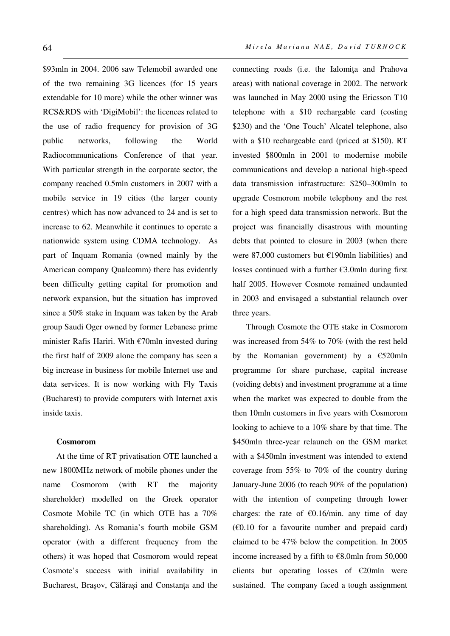\$93mln in 2004. 2006 saw Telemobil awarded one of the two remaining 3G licences (for 15 years extendable for 10 more) while the other winner was RCS&RDS with 'DigiMobil': the licences related to the use of radio frequency for provision of 3G public networks, following the World Radiocommunications Conference of that year. With particular strength in the corporate sector, the company reached 0.5mln customers in 2007 with a mobile service in 19 cities (the larger county centres) which has now advanced to 24 and is set to increase to 62. Meanwhile it continues to operate a nationwide system using CDMA technology. As part of Inquam Romania (owned mainly by the American company Qualcomm) there has evidently been difficulty getting capital for promotion and network expansion, but the situation has improved since a 50% stake in Inquam was taken by the Arab group Saudi Oger owned by former Lebanese prime minister Rafis Hariri. With €70mln invested during the first half of 2009 alone the company has seen a big increase in business for mobile Internet use and data services. It is now working with Fly Taxis (Bucharest) to provide computers with Internet axis inside taxis.

## **Cosmorom**

At the time of RT privatisation OTE launched a new 1800MHz network of mobile phones under the name Cosmorom (with RT the majority shareholder) modelled on the Greek operator Cosmote Mobile TC (in which OTE has a 70% shareholding). As Romania's fourth mobile GSM operator (with a different frequency from the others) it was hoped that Cosmorom would repeat Cosmote's success with initial availability in Bucharest, Brașov, Călărași and Constanţa and the connecting roads (i.e. the Ialomiţa and Prahova areas) with national coverage in 2002. The network was launched in May 2000 using the Ericsson T10 telephone with a \$10 rechargable card (costing \$230) and the 'One Touch' Alcatel telephone, also with a \$10 rechargeable card (priced at \$150). RT invested \$800mln in 2001 to modernise mobile communications and develop a national high-speed data transmission infrastructure: \$250–300mln to upgrade Cosmorom mobile telephony and the rest for a high speed data transmission network. But the project was financially disastrous with mounting debts that pointed to closure in 2003 (when there were 87,000 customers but €190mln liabilities) and losses continued with a further €3.0mln during first half 2005. However Cosmote remained undaunted in 2003 and envisaged a substantial relaunch over three years.

Through Cosmote the OTE stake in Cosmorom was increased from 54% to 70% (with the rest held by the Romanian government) by a  $\epsilon$ 520mln programme for share purchase, capital increase (voiding debts) and investment programme at a time when the market was expected to double from the then 10mln customers in five years with Cosmorom looking to achieve to a 10% share by that time. The \$450mln three-year relaunch on the GSM market with a \$450mln investment was intended to extend coverage from 55% to 70% of the country during January-June 2006 (to reach 90% of the population) with the intention of competing through lower charges: the rate of  $\epsilon$ 0.16/min. any time of day  $(60.10)$  for a favourite number and prepaid card) claimed to be 47% below the competition. In 2005 income increased by a fifth to €8.0mln from 50,000 clients but operating losses of  $\epsilon$ 20mln were sustained. The company faced a tough assignment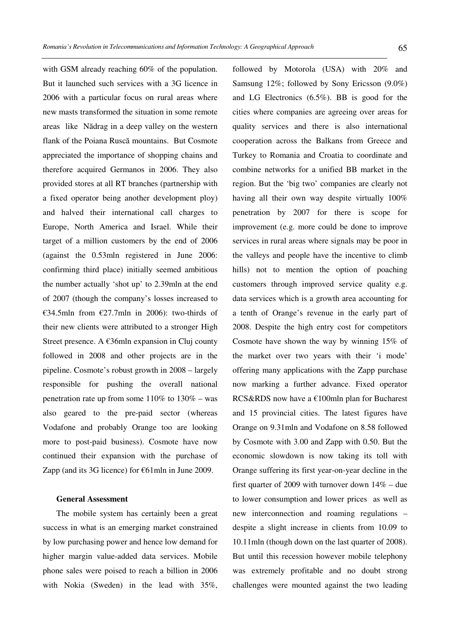with GSM already reaching 60% of the population. But it launched such services with a 3G licence in 2006 with a particular focus on rural areas where new masts transformed the situation in some remote areas like Nădrag in a deep valley on the western flank of the Poiana Ruscă mountains. But Cosmote appreciated the importance of shopping chains and therefore acquired Germanos in 2006. They also provided stores at all RT branches (partnership with a fixed operator being another development ploy) and halved their international call charges to Europe, North America and Israel. While their target of a million customers by the end of 2006 (against the 0.53mln registered in June 2006: confirming third place) initially seemed ambitious the number actually 'shot up' to 2.39mln at the end of 2007 (though the company's losses increased to €34.5mln from €27.7mln in 2006): two-thirds of their new clients were attributed to a stronger High Street presence. A  $\epsilon$ 36mln expansion in Cluj county followed in 2008 and other projects are in the pipeline. Cosmote's robust growth in 2008 – largely responsible for pushing the overall national penetration rate up from some  $110\%$  to  $130\%$  – was also geared to the pre-paid sector (whereas Vodafone and probably Orange too are looking more to post-paid business). Cosmote have now continued their expansion with the purchase of Zapp (and its 3G licence) for €61mln in June 2009.

### **General Assessment**

The mobile system has certainly been a great success in what is an emerging market constrained by low purchasing power and hence low demand for higher margin value-added data services. Mobile phone sales were poised to reach a billion in 2006 with Nokia (Sweden) in the lead with 35%, followed by Motorola (USA) with 20% and Samsung 12%; followed by Sony Ericsson (9.0%) and LG Electronics (6.5%). BB is good for the cities where companies are agreeing over areas for quality services and there is also international cooperation across the Balkans from Greece and Turkey to Romania and Croatia to coordinate and combine networks for a unified BB market in the region. But the 'big two' companies are clearly not having all their own way despite virtually 100% penetration by 2007 for there is scope for improvement (e.g. more could be done to improve services in rural areas where signals may be poor in the valleys and people have the incentive to climb hills) not to mention the option of poaching customers through improved service quality e.g. data services which is a growth area accounting for a tenth of Orange's revenue in the early part of 2008. Despite the high entry cost for competitors Cosmote have shown the way by winning 15% of the market over two years with their 'i mode' offering many applications with the Zapp purchase now marking a further advance. Fixed operator RCS&RDS now have a €100mln plan for Bucharest and 15 provincial cities. The latest figures have Orange on 9.31mln and Vodafone on 8.58 followed by Cosmote with 3.00 and Zapp with 0.50. But the economic slowdown is now taking its toll with Orange suffering its first year-on-year decline in the first quarter of 2009 with turnover down 14% – due to lower consumption and lower prices as well as new interconnection and roaming regulations – despite a slight increase in clients from 10.09 to 10.11mln (though down on the last quarter of 2008). But until this recession however mobile telephony was extremely profitable and no doubt strong challenges were mounted against the two leading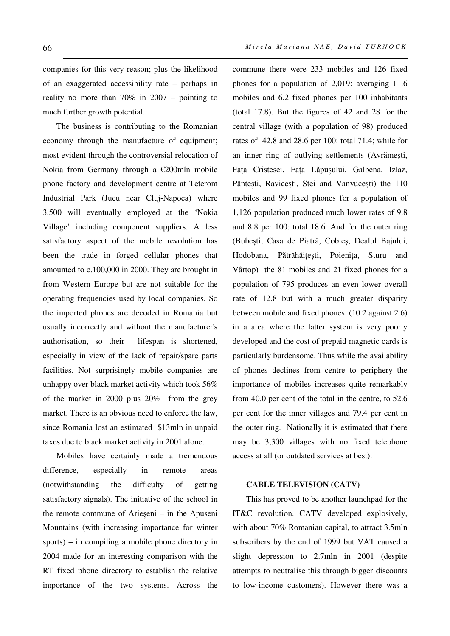companies for this very reason; plus the likelihood of an exaggerated accessibility rate – perhaps in reality no more than 70% in 2007 – pointing to much further growth potential.

The business is contributing to the Romanian economy through the manufacture of equipment; most evident through the controversial relocation of Nokia from Germany through a €200mln mobile phone factory and development centre at Teterom Industrial Park (Jucu near Cluj-Napoca) where 3,500 will eventually employed at the 'Nokia Village' including component suppliers. A less satisfactory aspect of the mobile revolution has been the trade in forged cellular phones that amounted to c.100,000 in 2000. They are brought in from Western Europe but are not suitable for the operating frequencies used by local companies. So the imported phones are decoded in Romania but usually incorrectly and without the manufacturer's authorisation, so their lifespan is shortened, especially in view of the lack of repair/spare parts facilities. Not surprisingly mobile companies are unhappy over black market activity which took 56% of the market in 2000 plus 20% from the grey market. There is an obvious need to enforce the law, since Romania lost an estimated \$13mln in unpaid taxes due to black market activity in 2001 alone.

Mobiles have certainly made a tremendous difference, especially in remote areas (notwithstanding the difficulty of getting satisfactory signals). The initiative of the school in the remote commune of Arieșeni – in the Apuseni Mountains (with increasing importance for winter sports) – in compiling a mobile phone directory in 2004 made for an interesting comparison with the RT fixed phone directory to establish the relative importance of the two systems. Across the commune there were 233 mobiles and 126 fixed phones for a population of 2,019: averaging 11.6 mobiles and 6.2 fixed phones per 100 inhabitants (total 17.8). But the figures of 42 and 28 for the central village (with a population of 98) produced rates of 42.8 and 28.6 per 100: total 71.4; while for an inner ring of outlying settlements (Avrămești, Faţa Cristesei, Faţa Lăpușului, Galbena, Izlaz, Păntești, Ravicești, Stei and Vanvucești) the 110 mobiles and 99 fixed phones for a population of 1,126 population produced much lower rates of 9.8 and 8.8 per 100: total 18.6. And for the outer ring (Bubești, Casa de Piatră, Cobleș, Dealul Bajului, Hodobana, Pătrăhăiţești, Poieniţa, Sturu and Vârtop) the 81 mobiles and 21 fixed phones for a population of 795 produces an even lower overall rate of 12.8 but with a much greater disparity between mobile and fixed phones (10.2 against 2.6) in a area where the latter system is very poorly developed and the cost of prepaid magnetic cards is particularly burdensome. Thus while the availability of phones declines from centre to periphery the importance of mobiles increases quite remarkably from 40.0 per cent of the total in the centre, to 52.6 per cent for the inner villages and 79.4 per cent in the outer ring. Nationally it is estimated that there may be 3,300 villages with no fixed telephone access at all (or outdated services at best).

#### **CABLE TELEVISION (CATV)**

This has proved to be another launchpad for the IT&C revolution. CATV developed explosively, with about 70% Romanian capital, to attract 3.5mln subscribers by the end of 1999 but VAT caused a slight depression to 2.7mln in 2001 (despite attempts to neutralise this through bigger discounts to low-income customers). However there was a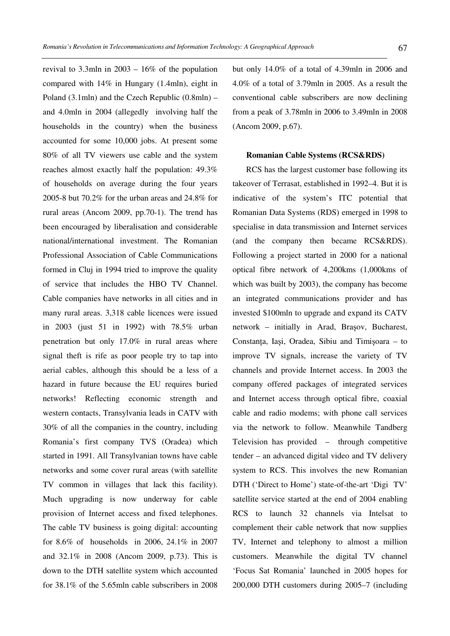revival to 3.3mln in 2003 – 16% of the population compared with 14% in Hungary (1.4mln), eight in Poland (3.1mln) and the Czech Republic (0.8mln) – and 4.0mln in 2004 (allegedly involving half the households in the country) when the business accounted for some 10,000 jobs. At present some 80% of all TV viewers use cable and the system reaches almost exactly half the population: 49.3% of households on average during the four years 2005-8 but 70.2% for the urban areas and 24.8% for rural areas (Ancom 2009, pp.70-1). The trend has been encouraged by liberalisation and considerable national/international investment. The Romanian Professional Association of Cable Communications formed in Cluj in 1994 tried to improve the quality of service that includes the HBO TV Channel. Cable companies have networks in all cities and in many rural areas. 3,318 cable licences were issued in 2003 (just 51 in 1992) with 78.5% urban penetration but only 17.0% in rural areas where signal theft is rife as poor people try to tap into aerial cables, although this should be a less of a hazard in future because the EU requires buried networks! Reflecting economic strength and western contacts, Transylvania leads in CATV with 30% of all the companies in the country, including Romania's first company TVS (Oradea) which started in 1991. All Transylvanian towns have cable networks and some cover rural areas (with satellite TV common in villages that lack this facility). Much upgrading is now underway for cable provision of Internet access and fixed telephones. The cable TV business is going digital: accounting for 8.6% of households in 2006, 24.1% in 2007 and 32.1% in 2008 (Ancom 2009, p.73). This is down to the DTH satellite system which accounted for 38.1% of the 5.65mln cable subscribers in 2008 but only 14.0% of a total of 4.39mln in 2006 and 4.0% of a total of 3.79mln in 2005. As a result the conventional cable subscribers are now declining from a peak of 3.78mln in 2006 to 3.49mln in 2008 (Ancom 2009, p.67).

## **Romanian Cable Systems (RCS&RDS)**

RCS has the largest customer base following its takeover of Terrasat, established in 1992–4. But it is indicative of the system's ITC potential that Romanian Data Systems (RDS) emerged in 1998 to specialise in data transmission and Internet services (and the company then became RCS&RDS). Following a project started in 2000 for a national optical fibre network of 4,200kms (1,000kms of which was built by 2003), the company has become an integrated communications provider and has invested \$100mln to upgrade and expand its CATV network – initially in Arad, Brașov, Bucharest, Constanţa, Iași, Oradea, Sibiu and Timișoara – to improve TV signals, increase the variety of TV channels and provide Internet access. In 2003 the company offered packages of integrated services and Internet access through optical fibre, coaxial cable and radio modems; with phone call services via the network to follow. Meanwhile Tandberg Television has provided – through competitive tender – an advanced digital video and TV delivery system to RCS. This involves the new Romanian DTH ('Direct to Home') state-of-the-art 'Digi TV' satellite service started at the end of 2004 enabling RCS to launch 32 channels via Intelsat to complement their cable network that now supplies TV, Internet and telephony to almost a million customers. Meanwhile the digital TV channel 'Focus Sat Romania' launched in 2005 hopes for 200,000 DTH customers during 2005–7 (including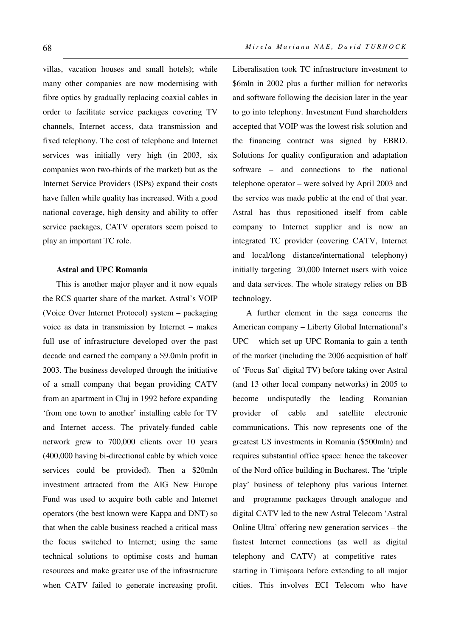villas, vacation houses and small hotels); while many other companies are now modernising with fibre optics by gradually replacing coaxial cables in order to facilitate service packages covering TV channels, Internet access, data transmission and fixed telephony. The cost of telephone and Internet services was initially very high (in 2003, six companies won two-thirds of the market) but as the Internet Service Providers (ISPs) expand their costs have fallen while quality has increased. With a good national coverage, high density and ability to offer service packages, CATV operators seem poised to play an important TC role.

## **Astral and UPC Romania**

This is another major player and it now equals the RCS quarter share of the market. Astral's VOIP (Voice Over Internet Protocol) system – packaging voice as data in transmission by Internet – makes full use of infrastructure developed over the past decade and earned the company a \$9.0mln profit in 2003. The business developed through the initiative of a small company that began providing CATV from an apartment in Cluj in 1992 before expanding 'from one town to another' installing cable for TV and Internet access. The privately-funded cable network grew to 700,000 clients over 10 years (400,000 having bi-directional cable by which voice services could be provided). Then a \$20mln investment attracted from the AIG New Europe Fund was used to acquire both cable and Internet operators (the best known were Kappa and DNT) so that when the cable business reached a critical mass the focus switched to Internet; using the same technical solutions to optimise costs and human resources and make greater use of the infrastructure when CATV failed to generate increasing profit. Liberalisation took TC infrastructure investment to \$6mln in 2002 plus a further million for networks and software following the decision later in the year to go into telephony. Investment Fund shareholders accepted that VOIP was the lowest risk solution and the financing contract was signed by EBRD. Solutions for quality configuration and adaptation software – and connections to the national telephone operator – were solved by April 2003 and the service was made public at the end of that year. Astral has thus repositioned itself from cable company to Internet supplier and is now an integrated TC provider (covering CATV, Internet and local/long distance/international telephony) initially targeting 20,000 Internet users with voice and data services. The whole strategy relies on BB technology.

A further element in the saga concerns the American company – Liberty Global International's UPC – which set up UPC Romania to gain a tenth of the market (including the 2006 acquisition of half of 'Focus Sat' digital TV) before taking over Astral (and 13 other local company networks) in 2005 to become undisputedly the leading Romanian provider of cable and satellite electronic communications. This now represents one of the greatest US investments in Romania (\$500mln) and requires substantial office space: hence the takeover of the Nord office building in Bucharest. The 'triple play' business of telephony plus various Internet and programme packages through analogue and digital CATV led to the new Astral Telecom 'Astral Online Ultra' offering new generation services – the fastest Internet connections (as well as digital telephony and CATV) at competitive rates – starting in Timișoara before extending to all major cities. This involves ECI Telecom who have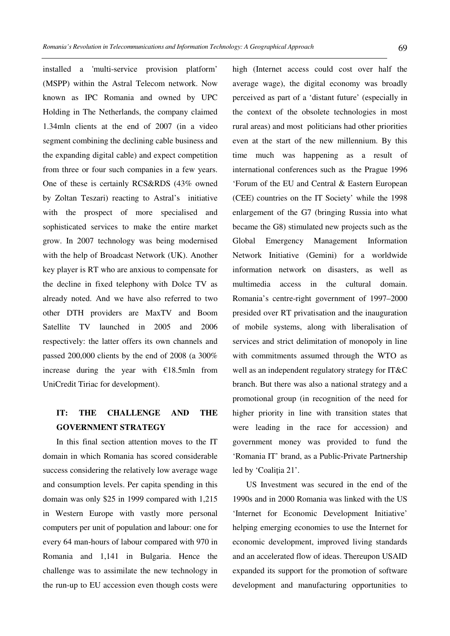installed a 'multi-service provision platform' (MSPP) within the Astral Telecom network. Now known as IPC Romania and owned by UPC Holding in The Netherlands, the company claimed 1.34mln clients at the end of 2007 (in a video segment combining the declining cable business and the expanding digital cable) and expect competition from three or four such companies in a few years. One of these is certainly RCS&RDS (43% owned by Zoltan Teszari) reacting to Astral's initiative with the prospect of more specialised and sophisticated services to make the entire market grow. In 2007 technology was being modernised with the help of Broadcast Network (UK). Another key player is RT who are anxious to compensate for the decline in fixed telephony with Dolce TV as already noted. And we have also referred to two other DTH providers are MaxTV and Boom Satellite TV launched in 2005 and 2006 respectively: the latter offers its own channels and passed 200,000 clients by the end of 2008 (a 300% increase during the year with €18.5mln from UniCredit Tiriac for development).

# **IT: THE CHALLENGE AND THE GOVERNMENT STRATEGY**

In this final section attention moves to the IT domain in which Romania has scored considerable success considering the relatively low average wage and consumption levels. Per capita spending in this domain was only \$25 in 1999 compared with 1,215 in Western Europe with vastly more personal computers per unit of population and labour: one for every 64 man-hours of labour compared with 970 in Romania and 1,141 in Bulgaria. Hence the challenge was to assimilate the new technology in the run-up to EU accession even though costs were high (Internet access could cost over half the average wage), the digital economy was broadly perceived as part of a 'distant future' (especially in the context of the obsolete technologies in most rural areas) and most politicians had other priorities even at the start of the new millennium. By this time much was happening as a result of international conferences such as the Prague 1996 'Forum of the EU and Central & Eastern European (CEE) countries on the IT Society' while the 1998 enlargement of the G7 (bringing Russia into what became the G8) stimulated new projects such as the Global Emergency Management Information Network Initiative (Gemini) for a worldwide information network on disasters, as well as multimedia access in the cultural domain. Romania's centre-right government of 1997–2000 presided over RT privatisation and the inauguration of mobile systems, along with liberalisation of services and strict delimitation of monopoly in line with commitments assumed through the WTO as well as an independent regulatory strategy for IT&C branch. But there was also a national strategy and a

promotional group (in recognition of the need for higher priority in line with transition states that were leading in the race for accession) and government money was provided to fund the 'Romania IT' brand, as a Public-Private Partnership led by 'Coalitia 21'.

US Investment was secured in the end of the 1990s and in 2000 Romania was linked with the US 'Internet for Economic Development Initiative' helping emerging economies to use the Internet for economic development, improved living standards and an accelerated flow of ideas. Thereupon USAID expanded its support for the promotion of software development and manufacturing opportunities to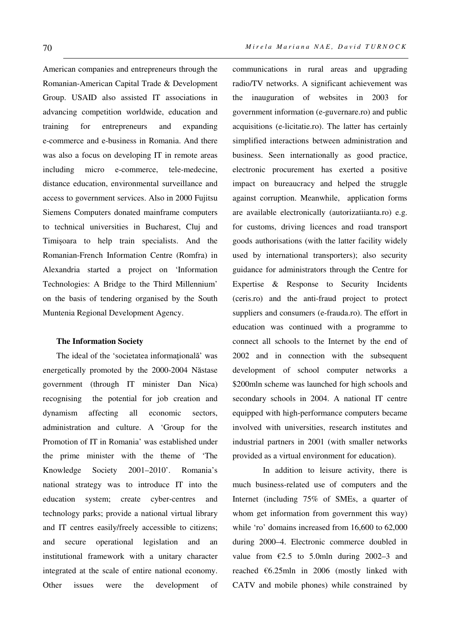American companies and entrepreneurs through the Romanian-American Capital Trade & Development Group. USAID also assisted IT associations in advancing competition worldwide, education and training for entrepreneurs and expanding e-commerce and e-business in Romania. And there was also a focus on developing IT in remote areas including micro e-commerce, tele-medecine, distance education, environmental surveillance and access to government services. Also in 2000 Fujitsu Siemens Computers donated mainframe computers to technical universities in Bucharest, Cluj and Timișoara to help train specialists. And the Romanian-French Information Centre (Romfra) in Alexandria started a project on 'Information Technologies: A Bridge to the Third Millennium' on the basis of tendering organised by the South Muntenia Regional Development Agency.

### **The Information Society**

The ideal of the 'societatea informatională' was energetically promoted by the 2000-2004 Năstase government (through IT minister Dan Nica) recognising the potential for job creation and dynamism affecting all economic sectors, administration and culture. A 'Group for the Promotion of IT in Romania' was established under the prime minister with the theme of 'The Knowledge Society 2001–2010'. Romania's national strategy was to introduce IT into the education system; create cyber-centres and technology parks; provide a national virtual library and IT centres easily/freely accessible to citizens; and secure operational legislation and an institutional framework with a unitary character integrated at the scale of entire national economy. Other issues were the development of communications in rural areas and upgrading radio/TV networks. A significant achievement was the inauguration of websites in 2003 for government information (e-guvernare.ro) and public acquisitions (e-licitatie.ro). The latter has certainly simplified interactions between administration and business. Seen internationally as good practice, electronic procurement has exerted a positive impact on bureaucracy and helped the struggle against corruption. Meanwhile, application forms are available electronically (autorizatiianta.ro) e.g. for customs, driving licences and road transport goods authorisations (with the latter facility widely used by international transporters); also security guidance for administrators through the Centre for Expertise & Response to Security Incidents (ceris.ro) and the anti-fraud project to protect suppliers and consumers (e-frauda.ro). The effort in education was continued with a programme to connect all schools to the Internet by the end of 2002 and in connection with the subsequent development of school computer networks a \$200mln scheme was launched for high schools and secondary schools in 2004. A national IT centre equipped with high-performance computers became involved with universities, research institutes and industrial partners in 2001 (with smaller networks provided as a virtual environment for education).

 In addition to leisure activity, there is much business-related use of computers and the Internet (including 75% of SMEs, a quarter of whom get information from government this way) while 'ro' domains increased from 16,600 to 62,000 during 2000–4. Electronic commerce doubled in value from  $\epsilon$ 2.5 to 5.0mln during 2002–3 and reached €6.25mln in 2006 (mostly linked with CATV and mobile phones) while constrained by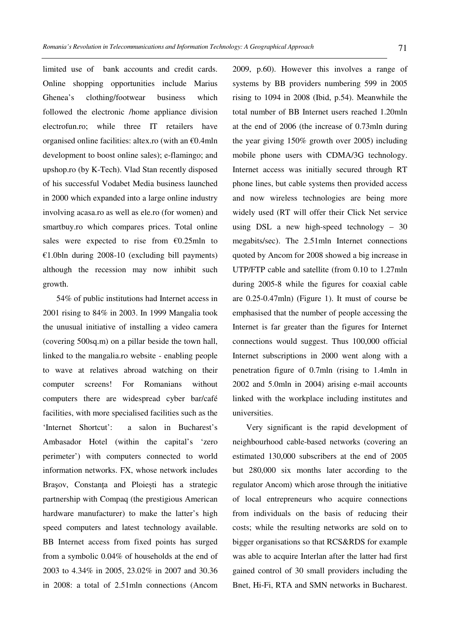limited use of bank accounts and credit cards. Online shopping opportunities include Marius Ghenea's clothing/footwear business which followed the electronic /home appliance division electrofun.ro; while three IT retailers have organised online facilities: altex.ro (with an €0.4mln development to boost online sales); e-flamingo; and upshop.ro (by K-Tech). Vlad Stan recently disposed of his successful Vodabet Media business launched in 2000 which expanded into a large online industry involving acasa.ro as well as ele.ro (for women) and smartbuy.ro which compares prices. Total online sales were expected to rise from  $€0.25$ mln to  $£1.0bh$  during 2008-10 (excluding bill payments) although the recession may now inhibit such growth.

54% of public institutions had Internet access in 2001 rising to 84% in 2003. In 1999 Mangalia took the unusual initiative of installing a video camera (covering 500sq.m) on a pillar beside the town hall, linked to the mangalia.ro website - enabling people to wave at relatives abroad watching on their computer screens! For Romanians without computers there are widespread cyber bar/café facilities, with more specialised facilities such as the 'Internet Shortcut': a salon in Bucharest's Ambasador Hotel (within the capital's 'zero perimeter') with computers connected to world information networks. FX, whose network includes Brașov, Constanța and Ploiești has a strategic partnership with Compaq (the prestigious American hardware manufacturer) to make the latter's high speed computers and latest technology available. BB Internet access from fixed points has surged from a symbolic 0.04% of households at the end of 2003 to 4.34% in 2005, 23.02% in 2007 and 30.36 in 2008: a total of 2.51mln connections (Ancom 2009, p.60). However this involves a range of systems by BB providers numbering 599 in 2005 rising to 1094 in 2008 (Ibid, p.54). Meanwhile the total number of BB Internet users reached 1.20mln at the end of 2006 (the increase of 0.73mln during the year giving 150% growth over 2005) including mobile phone users with CDMA/3G technology. Internet access was initially secured through RT phone lines, but cable systems then provided access and now wireless technologies are being more widely used (RT will offer their Click Net service using DSL a new high-speed technology  $-30$ megabits/sec). The 2.51mln Internet connections quoted by Ancom for 2008 showed a big increase in UTP/FTP cable and satellite (from 0.10 to 1.27mln during 2005-8 while the figures for coaxial cable are 0.25-0.47mln) (Figure 1). It must of course be emphasised that the number of people accessing the Internet is far greater than the figures for Internet connections would suggest. Thus 100,000 official Internet subscriptions in 2000 went along with a penetration figure of 0.7mln (rising to 1.4mln in 2002 and 5.0mln in 2004) arising e-mail accounts linked with the workplace including institutes and universities.

Very significant is the rapid development of neighbourhood cable-based networks (covering an estimated 130,000 subscribers at the end of 2005 but 280,000 six months later according to the regulator Ancom) which arose through the initiative of local entrepreneurs who acquire connections from individuals on the basis of reducing their costs; while the resulting networks are sold on to bigger organisations so that RCS&RDS for example was able to acquire Interlan after the latter had first gained control of 30 small providers including the Bnet, Hi-Fi, RTA and SMN networks in Bucharest.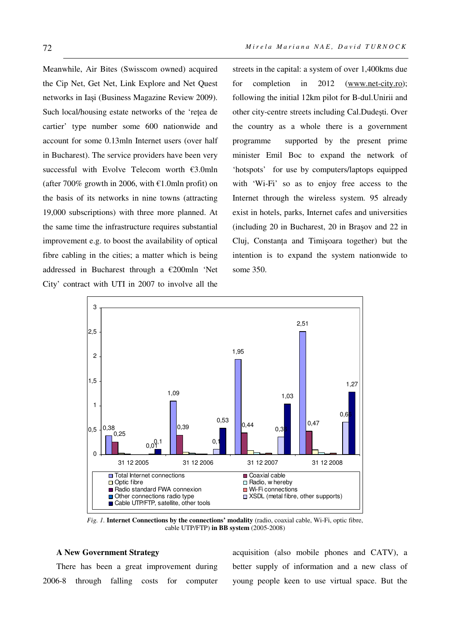Meanwhile, Air Bites (Swisscom owned) acquired the Cip Net, Get Net, Link Explore and Net Quest networks in Iași (Business Magazine Review 2009). Such local/housing estate networks of the 'reţea de cartier' type number some 600 nationwide and account for some 0.13mln Internet users (over half in Bucharest). The service providers have been very successful with Evolve Telecom worth €3.0mln (after 700% growth in 2006, with  $\epsilon$ 1.0mln profit) on the basis of its networks in nine towns (attracting 19,000 subscriptions) with three more planned. At the same time the infrastructure requires substantial improvement e.g. to boost the availability of optical fibre cabling in the cities; a matter which is being addressed in Bucharest through a €200mln 'Net City' contract with UTI in 2007 to involve all the

streets in the capital: a system of over 1,400kms due for completion in 2012 (www.net-city.ro); following the initial 12km pilot for B-dul.Unirii and other city-centre streets including Cal.Dudești. Over the country as a whole there is a government programme supported by the present prime minister Emil Boc to expand the network of 'hotspots' for use by computers/laptops equipped with 'Wi-Fi' so as to enjoy free access to the Internet through the wireless system. 95 already exist in hotels, parks, Internet cafes and universities (including 20 in Bucharest, 20 in Brașov and 22 in Cluj, Constanţa and Timișoara together) but the intention is to expand the system nationwide to some 350.



*Fig. 1.* **Internet Connections by the connections' modality** (radio, coaxial cable, Wi-Fi, optic fibre, cable UTP/FTP) **in BB system** (2005-2008)

#### **A New Government Strategy**

There has been a great improvement during 2006-8 through falling costs for computer acquisition (also mobile phones and CATV), a better supply of information and a new class of young people keen to use virtual space. But the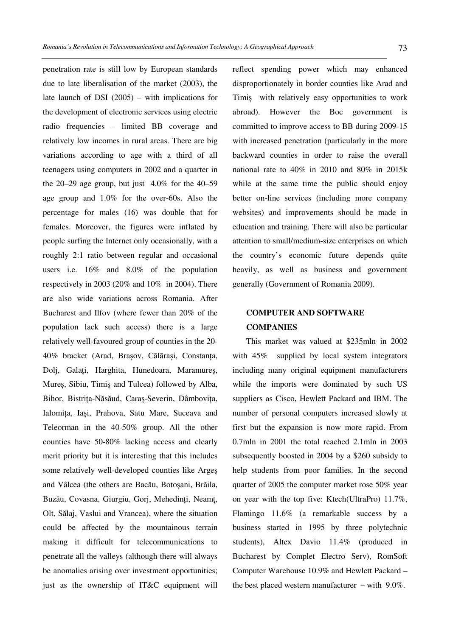penetration rate is still low by European standards due to late liberalisation of the market (2003), the late launch of DSI (2005) – with implications for the development of electronic services using electric radio frequencies – limited BB coverage and relatively low incomes in rural areas. There are big variations according to age with a third of all teenagers using computers in 2002 and a quarter in the 20–29 age group, but just  $4.0\%$  for the 40–59 age group and 1.0% for the over-60s. Also the percentage for males (16) was double that for females. Moreover, the figures were inflated by people surfing the Internet only occasionally, with a roughly 2:1 ratio between regular and occasional users i.e. 16% and 8.0% of the population respectively in 2003 (20% and 10% in 2004). There are also wide variations across Romania. After Bucharest and Ilfov (where fewer than 20% of the population lack such access) there is a large relatively well-favoured group of counties in the 20- 40% bracket (Arad, Brasov, Călărași, Constanta, Dolj, Galaţi, Harghita, Hunedoara, Maramureș, Mureș, Sibiu, Timiș and Tulcea) followed by Alba, Bihor, Bistriţa-Năsăud, Caraș-Severin, Dâmboviţa, Ialomita, Iași, Prahova, Satu Mare, Suceava and Teleorman in the 40-50% group. All the other counties have 50-80% lacking access and clearly merit priority but it is interesting that this includes some relatively well-developed counties like Argeș and Vâlcea (the others are Bacău, Botoșani, Brăila, Buzău, Covasna, Giurgiu, Gorj, Mehedinți, Neamț, Olt, Sălaj, Vaslui and Vrancea), where the situation could be affected by the mountainous terrain making it difficult for telecommunications to penetrate all the valleys (although there will always be anomalies arising over investment opportunities; just as the ownership of IT&C equipment will

reflect spending power which may enhanced disproportionately in border counties like Arad and Timiș with relatively easy opportunities to work abroad). However the Boc government is committed to improve access to BB during 2009-15 with increased penetration (particularly in the more backward counties in order to raise the overall national rate to 40% in 2010 and 80% in 2015k while at the same time the public should enjoy better on-line services (including more company websites) and improvements should be made in education and training. There will also be particular attention to small/medium-size enterprises on which the country's economic future depends quite heavily, as well as business and government generally (Government of Romania 2009).

# **COMPUTER AND SOFTWARE COMPANIES**

This market was valued at \$235mln in 2002 with 45% supplied by local system integrators including many original equipment manufacturers while the imports were dominated by such US suppliers as Cisco, Hewlett Packard and IBM. The number of personal computers increased slowly at first but the expansion is now more rapid. From 0.7mln in 2001 the total reached 2.1mln in 2003 subsequently boosted in 2004 by a \$260 subsidy to help students from poor families. In the second quarter of 2005 the computer market rose 50% year on year with the top five: Ktech(UltraPro) 11.7%, Flamingo 11.6% (a remarkable success by a business started in 1995 by three polytechnic students), Altex Davio 11.4% (produced in Bucharest by Complet Electro Serv), RomSoft Computer Warehouse 10.9% and Hewlett Packard – the best placed western manufacturer – with 9.0%.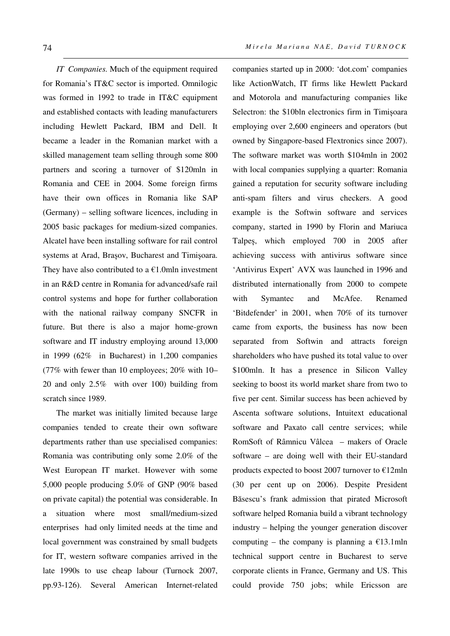*IT Companies.* Much of the equipment required for Romania's IT&C sector is imported. Omnilogic was formed in 1992 to trade in IT&C equipment and established contacts with leading manufacturers including Hewlett Packard, IBM and Dell. It became a leader in the Romanian market with a skilled management team selling through some 800 partners and scoring a turnover of \$120mln in Romania and CEE in 2004. Some foreign firms have their own offices in Romania like SAP (Germany) – selling software licences, including in 2005 basic packages for medium-sized companies. Alcatel have been installing software for rail control systems at Arad, Brașov, Bucharest and Timișoara. They have also contributed to a  $E1.0$ mln investment in an R&D centre in Romania for advanced/safe rail control systems and hope for further collaboration with the national railway company SNCFR in future. But there is also a major home-grown software and IT industry employing around 13,000 in 1999 (62% in Bucharest) in 1,200 companies (77% with fewer than 10 employees; 20% with 10– 20 and only 2.5% with over 100) building from scratch since 1989.

The market was initially limited because large companies tended to create their own software departments rather than use specialised companies: Romania was contributing only some 2.0% of the West European IT market. However with some 5,000 people producing 5.0% of GNP (90% based on private capital) the potential was considerable. In a situation where most small/medium-sized enterprises had only limited needs at the time and local government was constrained by small budgets for IT, western software companies arrived in the late 1990s to use cheap labour (Turnock 2007, pp.93-126). Several American Internet-related companies started up in 2000: 'dot.com' companies like ActionWatch, IT firms like Hewlett Packard and Motorola and manufacturing companies like Selectron: the \$10bln electronics firm in Timișoara employing over 2,600 engineers and operators (but owned by Singapore-based Flextronics since 2007). The software market was worth \$104mln in 2002 with local companies supplying a quarter: Romania gained a reputation for security software including anti-spam filters and virus checkers. A good example is the Softwin software and services company, started in 1990 by Florin and Mariuca Talpeș, which employed 700 in 2005 after achieving success with antivirus software since 'Antivirus Expert' AVX was launched in 1996 and distributed internationally from 2000 to compete with Symantec and McAfee. Renamed 'Bitdefender' in 2001, when 70% of its turnover came from exports, the business has now been separated from Softwin and attracts foreign shareholders who have pushed its total value to over \$100mln. It has a presence in Silicon Valley seeking to boost its world market share from two to five per cent. Similar success has been achieved by Ascenta software solutions, Intuitext educational software and Paxato call centre services; while RomSoft of Râmnicu Vâlcea – makers of Oracle software – are doing well with their EU-standard products expected to boost 2007 turnover to €12mln (30 per cent up on 2006). Despite President Băsescu's frank admission that pirated Microsoft software helped Romania build a vibrant technology industry – helping the younger generation discover computing – the company is planning a  $E13.1$ mln technical support centre in Bucharest to serve corporate clients in France, Germany and US. This could provide 750 jobs; while Ericsson are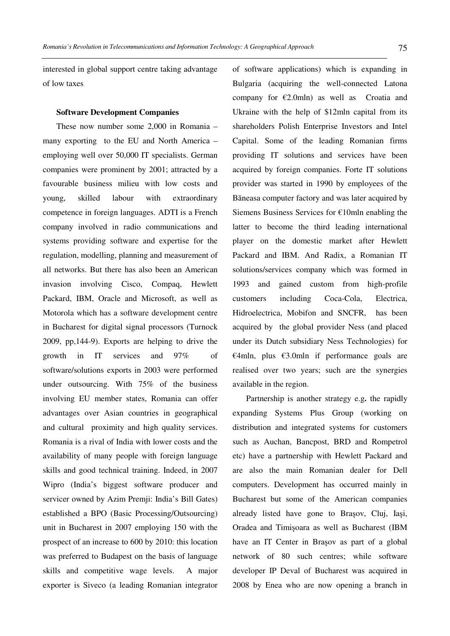interested in global support centre taking advantage of low taxes

#### **Software Development Companies**

These now number some 2,000 in Romania – many exporting to the EU and North America – employing well over 50,000 IT specialists. German companies were prominent by 2001; attracted by a favourable business milieu with low costs and young, skilled labour with extraordinary competence in foreign languages. ADTI is a French company involved in radio communications and systems providing software and expertise for the regulation, modelling, planning and measurement of all networks. But there has also been an American invasion involving Cisco, Compaq, Hewlett Packard, IBM, Oracle and Microsoft, as well as Motorola which has a software development centre in Bucharest for digital signal processors (Turnock 2009, pp,144-9). Exports are helping to drive the growth in IT services and 97% of software/solutions exports in 2003 were performed under outsourcing. With 75% of the business involving EU member states, Romania can offer advantages over Asian countries in geographical and cultural proximity and high quality services. Romania is a rival of India with lower costs and the availability of many people with foreign language skills and good technical training. Indeed, in 2007 Wipro (India's biggest software producer and servicer owned by Azim Premji: India's Bill Gates) established a BPO (Basic Processing/Outsourcing) unit in Bucharest in 2007 employing 150 with the prospect of an increase to 600 by 2010: this location was preferred to Budapest on the basis of language skills and competitive wage levels. A major exporter is Siveco (a leading Romanian integrator of software applications) which is expanding in Bulgaria (acquiring the well-connected Latona company for  $E2.0$ mln) as well as Croatia and Ukraine with the help of \$12mln capital from its shareholders Polish Enterprise Investors and Intel Capital. Some of the leading Romanian firms providing IT solutions and services have been acquired by foreign companies. Forte IT solutions provider was started in 1990 by employees of the Băneasa computer factory and was later acquired by Siemens Business Services for €10mln enabling the latter to become the third leading international player on the domestic market after Hewlett Packard and IBM. And Radix, a Romanian IT solutions/services company which was formed in 1993 and gained custom from high-profile customers including Coca-Cola, Electrica, Hidroelectrica, Mobifon and SNCFR, has been acquired by the global provider Ness (and placed under its Dutch subsidiary Ness Technologies) for  $\in$ 4mln, plus  $\in$ 3.0mln if performance goals are realised over two years; such are the synergies available in the region.

Partnership is another strategy e.g**.** the rapidly expanding Systems Plus Group (working on distribution and integrated systems for customers such as Auchan, Bancpost, BRD and Rompetrol etc) have a partnership with Hewlett Packard and are also the main Romanian dealer for Dell computers. Development has occurred mainly in Bucharest but some of the American companies already listed have gone to Brașov, Cluj, Iași, Oradea and Timișoara as well as Bucharest (IBM have an IT Center in Brasov as part of a global network of 80 such centres; while software developer IP Deval of Bucharest was acquired in 2008 by Enea who are now opening a branch in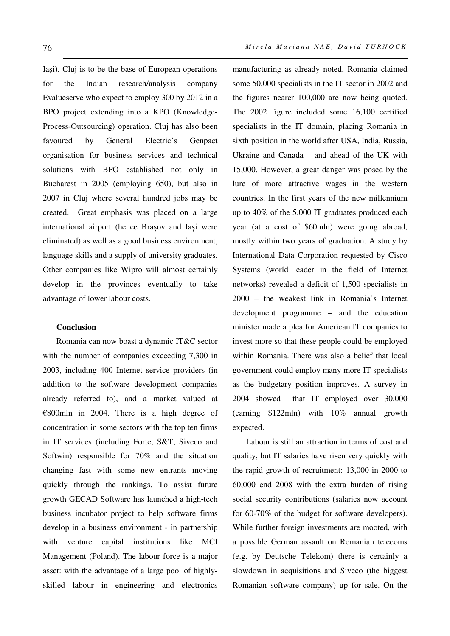Iași). Cluj is to be the base of European operations for the Indian research/analysis company Evalueserve who expect to employ 300 by 2012 in a BPO project extending into a KPO (Knowledge-Process-Outsourcing) operation. Cluj has also been favoured by General Electric's Genpact organisation for business services and technical solutions with BPO established not only in Bucharest in 2005 (employing 650), but also in 2007 in Cluj where several hundred jobs may be created. Great emphasis was placed on a large international airport (hence Brașov and Iași were eliminated) as well as a good business environment, language skills and a supply of university graduates. Other companies like Wipro will almost certainly develop in the provinces eventually to take advantage of lower labour costs.

## **Conclusion**

Romania can now boast a dynamic IT&C sector with the number of companies exceeding 7,300 in 2003, including 400 Internet service providers (in addition to the software development companies already referred to), and a market valued at  $\epsilon$ 800mln in 2004. There is a high degree of concentration in some sectors with the top ten firms in IT services (including Forte, S&T, Siveco and Softwin) responsible for 70% and the situation changing fast with some new entrants moving quickly through the rankings. To assist future growth GECAD Software has launched a high-tech business incubator project to help software firms develop in a business environment - in partnership with venture capital institutions like MCI Management (Poland). The labour force is a major asset: with the advantage of a large pool of highlyskilled labour in engineering and electronics manufacturing as already noted, Romania claimed some 50,000 specialists in the IT sector in 2002 and the figures nearer 100,000 are now being quoted. The 2002 figure included some 16,100 certified specialists in the IT domain, placing Romania in sixth position in the world after USA, India, Russia, Ukraine and Canada – and ahead of the UK with 15,000. However, a great danger was posed by the lure of more attractive wages in the western countries. In the first years of the new millennium up to 40% of the 5,000 IT graduates produced each year (at a cost of \$60mln) were going abroad, mostly within two years of graduation. A study by International Data Corporation requested by Cisco Systems (world leader in the field of Internet networks) revealed a deficit of 1,500 specialists in 2000 – the weakest link in Romania's Internet development programme – and the education minister made a plea for American IT companies to invest more so that these people could be employed within Romania. There was also a belief that local government could employ many more IT specialists as the budgetary position improves. A survey in 2004 showed that IT employed over 30,000 (earning \$122mln) with 10% annual growth expected.

Labour is still an attraction in terms of cost and quality, but IT salaries have risen very quickly with the rapid growth of recruitment: 13,000 in 2000 to 60,000 end 2008 with the extra burden of rising social security contributions (salaries now account for 60-70% of the budget for software developers). While further foreign investments are mooted, with a possible German assault on Romanian telecoms (e.g. by Deutsche Telekom) there is certainly a slowdown in acquisitions and Siveco (the biggest Romanian software company) up for sale. On the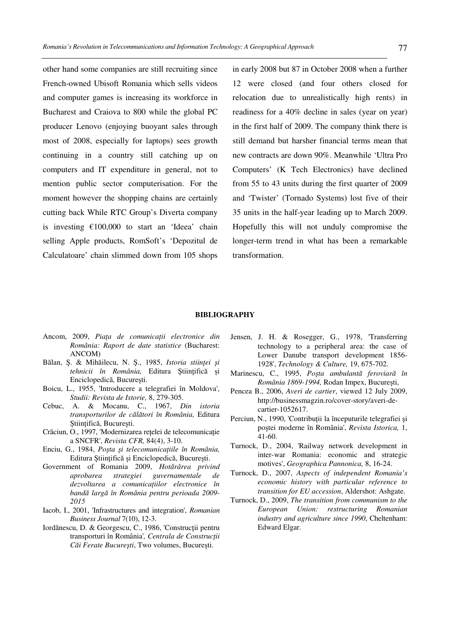other hand some companies are still recruiting since French-owned Ubisoft Romania which sells videos and computer games is increasing its workforce in Bucharest and Craiova to 800 while the global PC producer Lenovo (enjoying buoyant sales through most of 2008, especially for laptops) sees growth continuing in a country still catching up on computers and IT expenditure in general, not to mention public sector computerisation. For the moment however the shopping chains are certainly cutting back While RTC Group's Diverta company is investing €100,000 to start an 'Ideea' chain selling Apple products, RomSoft's 'Depozitul de Calculatoare' chain slimmed down from 105 shops

in early 2008 but 87 in October 2008 when a further 12 were closed (and four others closed for relocation due to unrealistically high rents) in readiness for a 40% decline in sales (year on year) in the first half of 2009. The company think there is still demand but harsher financial terms mean that new contracts are down 90%. Meanwhile 'Ultra Pro Computers' (K Tech Electronics) have declined from 55 to 43 units during the first quarter of 2009 and 'Twister' (Tornado Systems) lost five of their 35 units in the half-year leading up to March 2009. Hopefully this will not unduly compromise the longer-term trend in what has been a remarkable transformation.

#### **BIBLIOGRAPHY**

- Ancom, 2009, *Piaţa de comunicaţii electronice din România: Raport de date statistice* (Bucharest: ANCOM)
- Bălan, Ș. & Mihăilecu, N. Ș., 1985, *Istoria stiinţei și tehnicii în România,* Editura Știinţifică și Enciclopedică, București.
- Boicu, L., 1955, 'Introducere a telegrafiei în Moldova', *Studii: Revista de Istorie,* 8, 279-305.
- Cebuc, A. & Mocanu, C., 1967, *Din istoria transporturilor de călători în România,* Editura Știinţifică, București.
- Crăciun, O., 1997, 'Modernizarea reţelei de telecomunicaţie a SNCFR', *Revista CFR,* 84(4), 3-10.
- Enciu, G., 1984, *Poșta și telecomunicaţiile în România,* Editura Știinţifică și Enciclopedică, București.
- Government of Romania 2009, *Hotărârea privind aprobarea strategiei guvernamentale de dezvoltarea a comunicaţiilor electronice în bandă largă în România pentru perioada 2009- 2015*
- Iacob, I., 2001, 'Infrastructures and integration', *Romanian Business Journal* 7(10), 12-3.
- Iordănescu, D. & Georgescu, C., 1986, 'Constructii pentru transporturi în România'*, Centrala de Construcţii Căi Ferate București*, Two volumes, București.
- Jensen, J. H. & Rosegger, G., 1978, 'Transferring technology to a peripheral area: the case of Lower Danube transport development 1856- 1928', *Technology & Culture,* 19, 675-702.
- Marinescu, C., 1995, *Poșta ambulantă feroviară în România 1869-1994,* Rodan Impex, București,
- Pencea B., 2006, *Averi de cartier*, viewed 12 July 2009, http://businessmagzin.ro/cover-story/averi-decartier-1052617.
- Perciun, N., 1990, 'Contribuţii la începuturile telegrafiei și poștei moderne în România', *Revista Istorica,* 1, 41-60.
- Turnock, D., 2004, 'Railway network development in inter-war Romania: economic and strategic motives', *Geographica Pannonica,* 8, 16-24.
- Turnock, D., 2007, *Aspects of independent Romania's economic history with particular reference to transition for EU accession*, Aldershot: Ashgate.
- Turnock, D., 2009, *The transition from communism to the European Union: restructuring Romanian industry and agriculture since 1990*, Cheltenham: Edward Elgar.